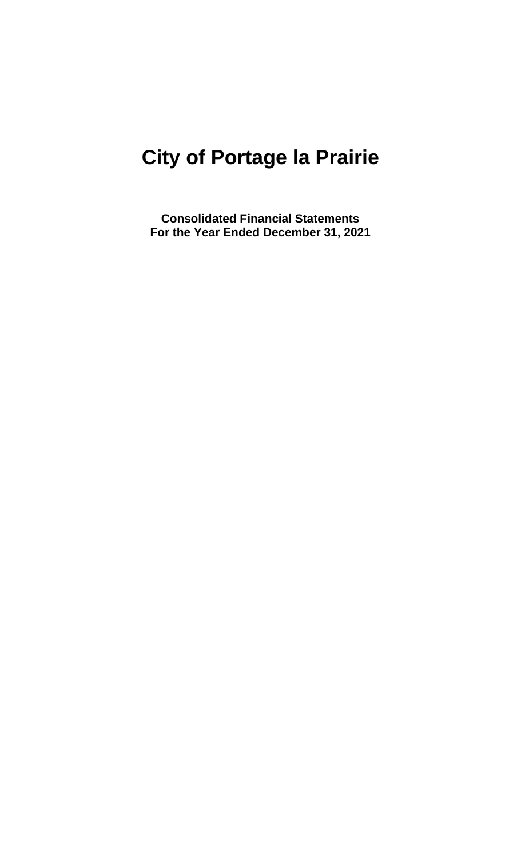# **City of Portage la Prairie**

**Consolidated Financial Statements For the Year Ended December 31, 2021**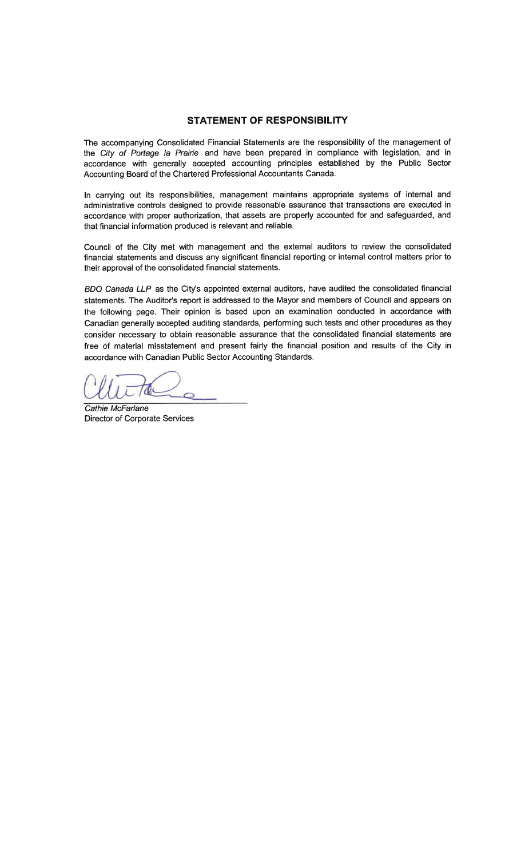### **STATEMENT OF RESPONSIBILITY**

The accompanying Consolidated Financial Statements are the responsibility of the management of the City of Portage la Prairie and have been prepared in compliance with legislation, and in accordance with generally accepted accounting principles established by the Public Sector Accounting Board of the Chartered Professional Accountants Canada.

In carrying out its responsibilities, management maintains appropriate systems of internal and administrative controls designed to provide reasonable assurance that transactions are executed in accordance with proper authorization, that assets are properly accounted for and safeguarded, and that financial information produced is relevant and reliable.

Council of the City met with management and the external auditors to review the consolidated financial statements and discuss any significant financial reporting or internal control matters prior to their approval of the consolidated financial statements.

BDO Canada LLP as the City's appointed external auditors, have audited the consolidated financial statements. The Auditor's report is addressed to the Mayor and members of Council and appears on the following page. Their opinion is based upon an examination conducted in accordance with Canadian generally accepted auditing standards, performing such tests and other procedures as they consider necessary to obtain reasonable assurance that the consolidated financial statements are free of material misstatement and present fairly the financial position and results of the City in accordance with Canadian Public Sector Accounting Standards.

 $\omega$ 

Cathie McFarlane **Director of Corporate Services**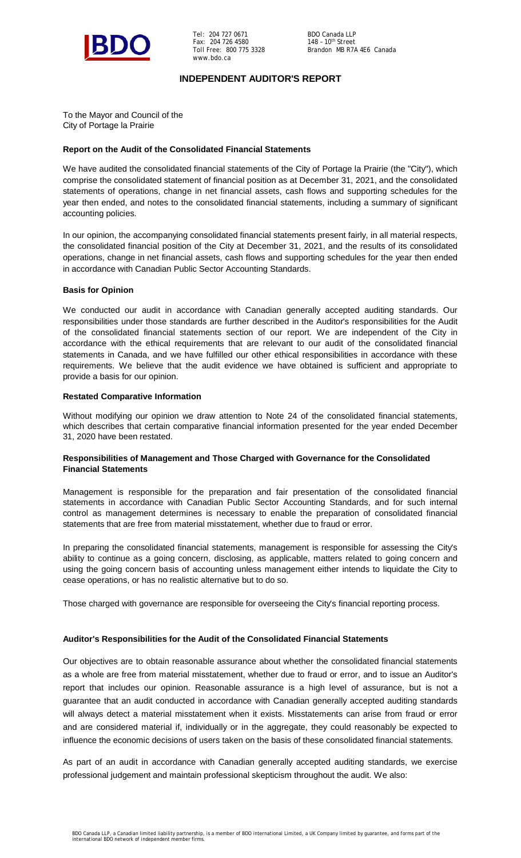

Tel: 204 727 0671 BDO Canada LLP<br>Fax: 204 726 4580 148 - 10<sup>th</sup> Street Fax: 204 726 4580 148 - 10<sup>th</sup> Street www.bdo.ca

### **INDEPENDENT AUDITOR'S REPORT**

To the Mayor and Council of the City of Portage la Prairie

### **Report on the Audit of the Consolidated Financial Statements**

We have audited the consolidated financial statements of the City of Portage la Prairie (the "City"), which comprise the consolidated statement of financial position as at December 31, 2021, and the consolidated statements of operations, change in net financial assets, cash flows and supporting schedules for the year then ended, and notes to the consolidated financial statements, including a summary of significant accounting policies.

In our opinion, the accompanying consolidated financial statements present fairly, in all material respects, the consolidated financial position of the City at December 31, 2021, and the results of its consolidated operations, change in net financial assets, cash flows and supporting schedules for the year then ended in accordance with Canadian Public Sector Accounting Standards.

#### **Basis for Opinion**

We conducted our audit in accordance with Canadian generally accepted auditing standards. Our responsibilities under those standards are further described in the Auditor's responsibilities for the Audit of the consolidated financial statements section of our report. We are independent of the City in accordance with the ethical requirements that are relevant to our audit of the consolidated financial statements in Canada, and we have fulfilled our other ethical responsibilities in accordance with these requirements. We believe that the audit evidence we have obtained is sufficient and appropriate to provide a basis for our opinion.

#### **Restated Comparative Information**

Without modifying our opinion we draw attention to Note 24 of the consolidated financial statements, which describes that certain comparative financial information presented for the year ended December 31, 2020 have been restated.

### **Responsibilities of Management and Those Charged with Governance for the Consolidated Financial Statements**

Management is responsible for the preparation and fair presentation of the consolidated financial statements in accordance with Canadian Public Sector Accounting Standards, and for such internal control as management determines is necessary to enable the preparation of consolidated financial statements that are free from material misstatement, whether due to fraud or error.

In preparing the consolidated financial statements, management is responsible for assessing the City's ability to continue as a going concern, disclosing, as applicable, matters related to going concern and using the going concern basis of accounting unless management either intends to liquidate the City to cease operations, or has no realistic alternative but to do so.

Those charged with governance are responsible for overseeing the City's financial reporting process.

### **Auditor's Responsibilities for the Audit of the Consolidated Financial Statements**

Our objectives are to obtain reasonable assurance about whether the consolidated financial statements as a whole are free from material misstatement, whether due to fraud or error, and to issue an Auditor's report that includes our opinion. Reasonable assurance is a high level of assurance, but is not a guarantee that an audit conducted in accordance with Canadian generally accepted auditing standards will always detect a material misstatement when it exists. Misstatements can arise from fraud or error and are considered material if, individually or in the aggregate, they could reasonably be expected to influence the economic decisions of users taken on the basis of these consolidated financial statements.

As part of an audit in accordance with Canadian generally accepted auditing standards, we exercise professional judgement and maintain professional skepticism throughout the audit. We also: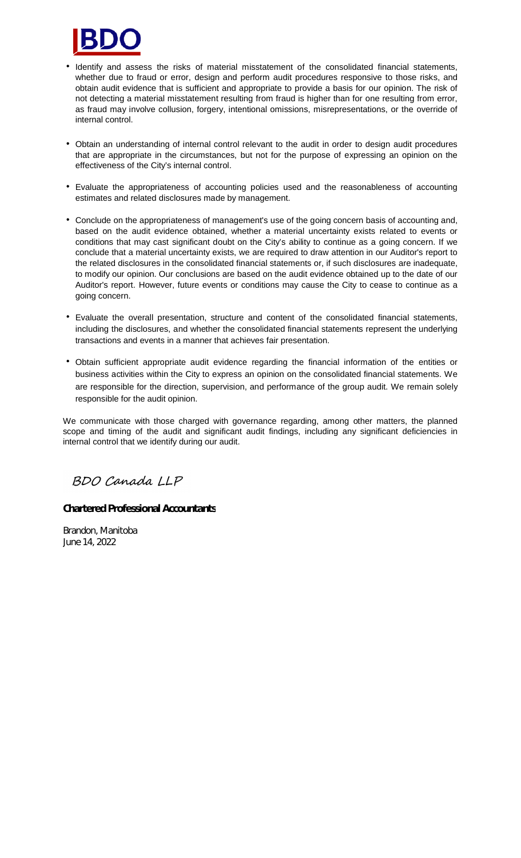

- Identify and assess the risks of material misstatement of the consolidated financial statements, whether due to fraud or error, design and perform audit procedures responsive to those risks, and obtain audit evidence that is sufficient and appropriate to provide a basis for our opinion. The risk of not detecting a material misstatement resulting from fraud is higher than for one resulting from error, as fraud may involve collusion, forgery, intentional omissions, misrepresentations, or the override of internal control.
- Obtain an understanding of internal control relevant to the audit in order to design audit procedures that are appropriate in the circumstances, but not for the purpose of expressing an opinion on the effectiveness of the City's internal control.
- Evaluate the appropriateness of accounting policies used and the reasonableness of accounting estimates and related disclosures made by management.
- Conclude on the appropriateness of management's use of the going concern basis of accounting and, based on the audit evidence obtained, whether a material uncertainty exists related to events or conditions that may cast significant doubt on the City's ability to continue as a going concern. If we conclude that a material uncertainty exists, we are required to draw attention in our Auditor's report to the related disclosures in the consolidated financial statements or, if such disclosures are inadequate, to modify our opinion. Our conclusions are based on the audit evidence obtained up to the date of our Auditor's report. However, future events or conditions may cause the City to cease to continue as a going concern.
- Evaluate the overall presentation, structure and content of the consolidated financial statements, including the disclosures, and whether the consolidated financial statements represent the underlying transactions and events in a manner that achieves fair presentation.
- Obtain sufficient appropriate audit evidence regarding the financial information of the entities or business activities within the City to express an opinion on the consolidated financial statements. We are responsible for the direction, supervision, and performance of the group audit. We remain solely responsible for the audit opinion.

We communicate with those charged with governance regarding, among other matters, the planned scope and timing of the audit and significant audit findings, including any significant deficiencies in internal control that we identify during our audit.

BDO Canada LLP

**Chartered Professional Accountants**

Brandon, Manitoba June 14, 2022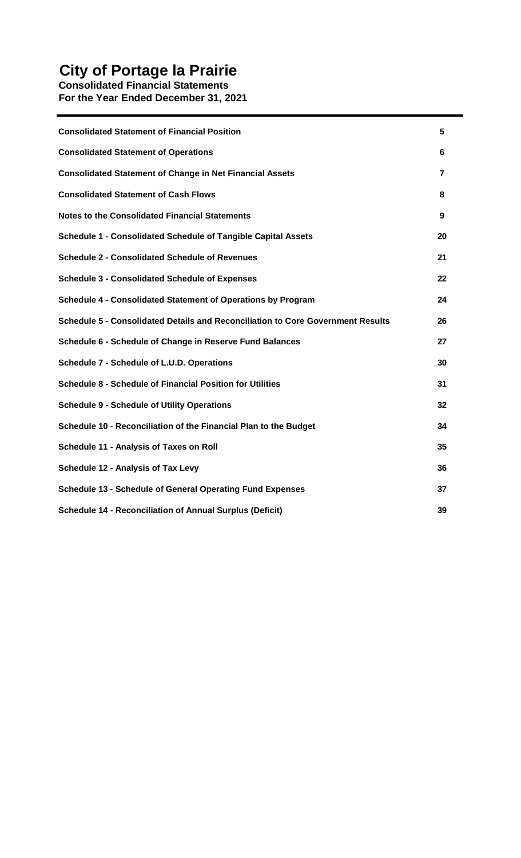## **City of Portage la Prairie**

**Consolidated Financial Statements For the Year Ended December 31, 2021**

| <b>Consolidated Statement of Financial Position</b>                             | 5  |
|---------------------------------------------------------------------------------|----|
| <b>Consolidated Statement of Operations</b>                                     | 6  |
| <b>Consolidated Statement of Change in Net Financial Assets</b>                 | 7  |
| <b>Consolidated Statement of Cash Flows</b>                                     | 8  |
| <b>Notes to the Consolidated Financial Statements</b>                           | 9  |
| Schedule 1 - Consolidated Schedule of Tangible Capital Assets                   | 20 |
| <b>Schedule 2 - Consolidated Schedule of Revenues</b>                           | 21 |
| <b>Schedule 3 - Consolidated Schedule of Expenses</b>                           | 22 |
| Schedule 4 - Consolidated Statement of Operations by Program                    | 24 |
| Schedule 5 - Consolidated Details and Reconciliation to Core Government Results | 26 |
| Schedule 6 - Schedule of Change in Reserve Fund Balances                        | 27 |
| Schedule 7 - Schedule of L.U.D. Operations                                      | 30 |
| <b>Schedule 8 - Schedule of Financial Position for Utilities</b>                | 31 |
| <b>Schedule 9 - Schedule of Utility Operations</b>                              | 32 |
| Schedule 10 - Reconciliation of the Financial Plan to the Budget                | 34 |
| <b>Schedule 11 - Analysis of Taxes on Roll</b>                                  | 35 |
| <b>Schedule 12 - Analysis of Tax Levy</b>                                       | 36 |
| <b>Schedule 13 - Schedule of General Operating Fund Expenses</b>                | 37 |
| <b>Schedule 14 - Reconciliation of Annual Surplus (Deficit)</b>                 | 39 |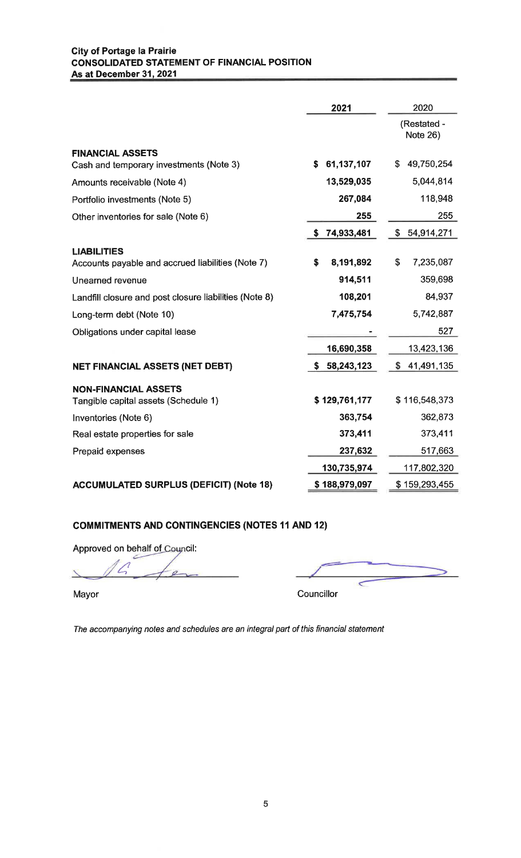### **City of Portage la Prairie CONSOLIDATED STATEMENT OF FINANCIAL POSITION** As at December 31, 2021

|                                                                         | 2020<br>2021     |                            |  |
|-------------------------------------------------------------------------|------------------|----------------------------|--|
|                                                                         |                  | (Restated -<br>Note 26)    |  |
| <b>FINANCIAL ASSETS</b><br>Cash and temporary investments (Note 3)      | 61,137,107<br>\$ | 49,750,254<br>\$           |  |
| Amounts receivable (Note 4)                                             | 13,529,035       | 5,044,814                  |  |
| Portfolio investments (Note 5)                                          | 267,084          | 118,948                    |  |
| Other inventories for sale (Note 6)                                     | 255              | 255                        |  |
|                                                                         | 74,933,481<br>\$ | $\mathbb{S}$<br>54,914,271 |  |
| <b>LIABILITIES</b><br>Accounts payable and accrued liabilities (Note 7) | 8,191,892<br>\$  | 7,235,087<br>\$            |  |
| Unearned revenue                                                        | 914,511          | 359,698                    |  |
| Landfill closure and post closure liabilities (Note 8)                  | 108,201          | 84,937                     |  |
| Long-term debt (Note 10)                                                | 7,475,754        | 5,742,887                  |  |
| Obligations under capital lease                                         |                  | 527                        |  |
|                                                                         | 16,690,358       | 13,423,136                 |  |
| <b>NET FINANCIAL ASSETS (NET DEBT)</b>                                  | 58,243,123       | 41,491,135<br>\$           |  |
| <b>NON-FINANCIAL ASSETS</b><br>Tangible capital assets (Schedule 1)     | \$129,761,177    | \$116,548,373              |  |
| Inventories (Note 6)                                                    | 363,754          | 362,873                    |  |
| Real estate properties for sale                                         | 373,411          | 373,411                    |  |
| Prepaid expenses                                                        | 237,632          | 517,663                    |  |
|                                                                         | 130,735,974      | 117,802,320                |  |
| <b>ACCUMULATED SURPLUS (DEFICIT) (Note 18)</b>                          | \$188,979,097    | \$159,293,455              |  |

### **COMMITMENTS AND CONTINGENCIES (NOTES 11 AND 12)**

Approved on behalf of Council:

ć

Mayor

Councillor

The accompanying notes and schedules are an integral part of this financial statement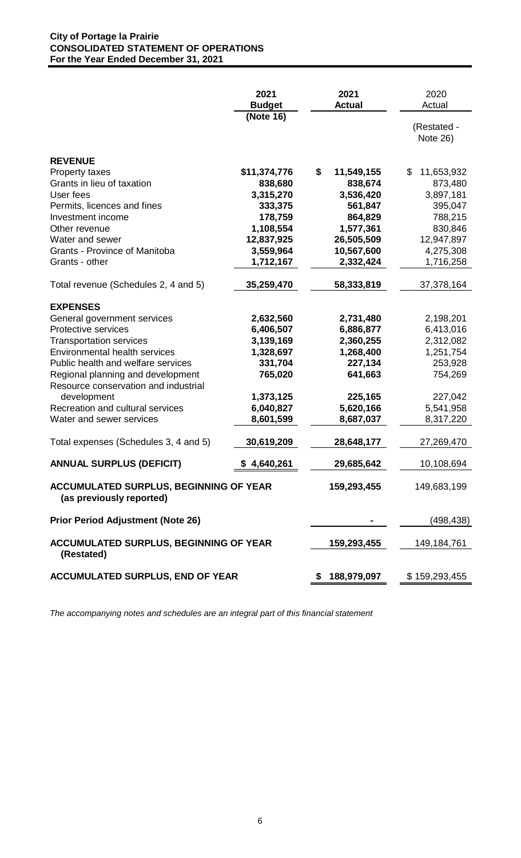### **City of Portage la Prairie CONSOLIDATED STATEMENT OF OPERATIONS For the Year Ended December 31, 2021**

|                                                                           | 2021<br><b>Budget</b> | 2021<br><b>Actual</b>  | 2020<br>Actual          |
|---------------------------------------------------------------------------|-----------------------|------------------------|-------------------------|
|                                                                           | (Note 16)             |                        | (Restated -<br>Note 26) |
| <b>REVENUE</b>                                                            |                       |                        |                         |
| Property taxes                                                            | \$11,374,776          | \$<br>11,549,155       | \$<br>11,653,932        |
| Grants in lieu of taxation                                                | 838,680               | 838,674                | 873,480                 |
| User fees                                                                 | 3,315,270             | 3,536,420              | 3,897,181               |
| Permits, licences and fines                                               | 333,375               | 561,847                | 395,047                 |
| Investment income                                                         | 178,759               | 864,829                | 788,215                 |
| Other revenue                                                             | 1,108,554             | 1,577,361              | 830,846                 |
| Water and sewer                                                           | 12,837,925            | 26,505,509             | 12,947,897              |
| Grants - Province of Manitoba                                             | 3,559,964             | 10,567,600             | 4,275,308               |
| Grants - other                                                            | 1,712,167             | 2,332,424              | 1,716,258               |
| Total revenue (Schedules 2, 4 and 5)                                      | 35,259,470            | 58,333,819             | 37,378,164              |
|                                                                           |                       |                        |                         |
| <b>EXPENSES</b>                                                           | 2,632,560             |                        | 2,198,201               |
| General government services<br>Protective services                        | 6,406,507             | 2,731,480<br>6,886,877 | 6,413,016               |
| <b>Transportation services</b>                                            | 3,139,169             | 2,360,255              | 2,312,082               |
| <b>Environmental health services</b>                                      | 1,328,697             | 1,268,400              | 1,251,754               |
| Public health and welfare services                                        | 331,704               | 227,134                | 253,928                 |
| Regional planning and development                                         | 765,020               | 641,663                | 754,269                 |
| Resource conservation and industrial                                      |                       |                        |                         |
| development                                                               | 1,373,125             | 225,165                | 227,042                 |
| Recreation and cultural services                                          | 6,040,827             | 5,620,166              | 5,541,958               |
| Water and sewer services                                                  | 8,601,599             | 8,687,037              | 8,317,220               |
|                                                                           |                       |                        |                         |
| Total expenses (Schedules 3, 4 and 5)                                     | 30,619,209            | 28,648,177             | 27,269,470              |
| <b>ANNUAL SURPLUS (DEFICIT)</b>                                           | \$4,640,261           | 29,685,642             | 10,108,694              |
| <b>ACCUMULATED SURPLUS, BEGINNING OF YEAR</b><br>(as previously reported) |                       | 159,293,455            | 149,683,199             |
| <b>Prior Period Adjustment (Note 26)</b>                                  |                       |                        | (498,438)               |
| <b>ACCUMULATED SURPLUS, BEGINNING OF YEAR</b><br>(Restated)               |                       | 159,293,455            | 149, 184, 761           |
| <b>ACCUMULATED SURPLUS, END OF YEAR</b>                                   |                       | 188,979,097            | \$159,293,455           |

*The accompanying notes and schedules are an integral part of this financial statement*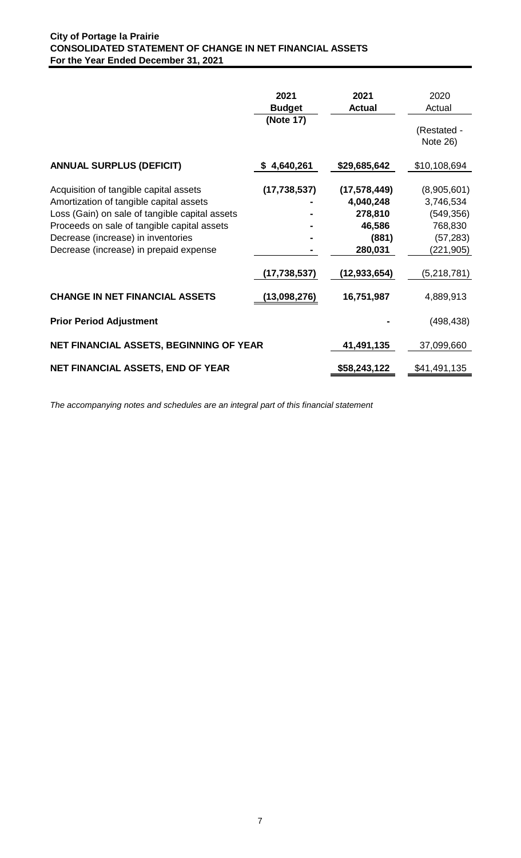|                                                                                               | 2021<br><b>Budget</b><br>(Note 17) | 2021<br><b>Actual</b>       | 2020<br>Actual           |
|-----------------------------------------------------------------------------------------------|------------------------------------|-----------------------------|--------------------------|
|                                                                                               |                                    |                             | (Restated -<br>Note 26)  |
| <b>ANNUAL SURPLUS (DEFICIT)</b>                                                               | \$4,640,261                        | \$29,685,642                | \$10,108,694             |
| Acquisition of tangible capital assets<br>Amortization of tangible capital assets             | (17, 738, 537)                     | (17, 578, 449)<br>4,040,248 | (8,905,601)<br>3,746,534 |
| Loss (Gain) on sale of tangible capital assets<br>Proceeds on sale of tangible capital assets |                                    | 278,810<br>46,586           | (549, 356)<br>768,830    |
| Decrease (increase) in inventories<br>Decrease (increase) in prepaid expense                  |                                    | (881)<br>280,031            | (57, 283)<br>(221,905)   |
|                                                                                               | (17,738,537)                       | (12,933,654)                | (5,218,781)              |
| <b>CHANGE IN NET FINANCIAL ASSETS</b>                                                         | (13,098,276)                       | 16,751,987                  | 4,889,913                |
| <b>Prior Period Adjustment</b>                                                                |                                    |                             | (498, 438)               |
| NET FINANCIAL ASSETS, BEGINNING OF YEAR                                                       |                                    | 41,491,135                  | 37,099,660               |
| NET FINANCIAL ASSETS, END OF YEAR                                                             |                                    | \$58,243,122                | \$41,491,135             |

*The accompanying notes and schedules are an integral part of this financial statement*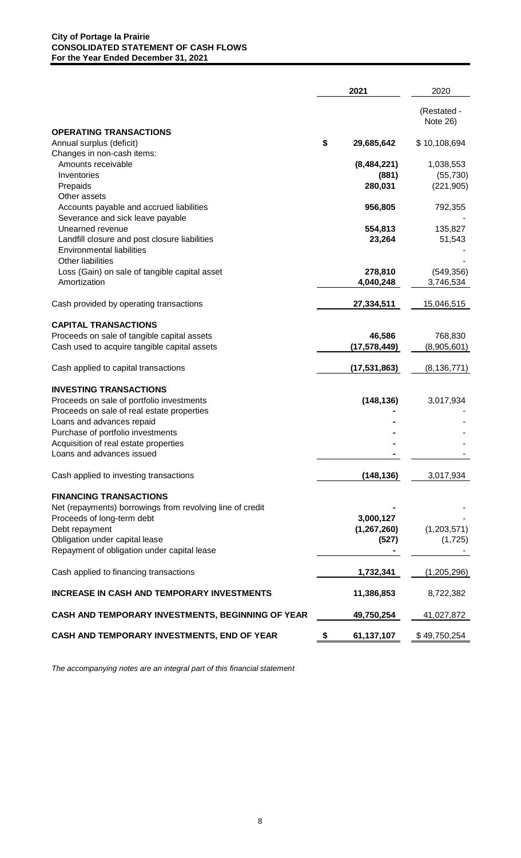### **City of Portage la Prairie CONSOLIDATED STATEMENT OF CASH FLOWS For the Year Ended December 31, 2021**

|                                                                              | 2021             | 2020                    |  |
|------------------------------------------------------------------------------|------------------|-------------------------|--|
|                                                                              |                  | (Restated -<br>Note 26) |  |
| <b>OPERATING TRANSACTIONS</b><br>Annual surplus (deficit)                    | \$<br>29,685,642 | \$10,108,694            |  |
| Changes in non-cash items:                                                   |                  |                         |  |
| Amounts receivable                                                           | (8,484,221)      | 1,038,553               |  |
| Inventories                                                                  | (881)            | (55, 730)               |  |
| Prepaids                                                                     | 280,031          | (221, 905)              |  |
| Other assets                                                                 |                  |                         |  |
| Accounts payable and accrued liabilities<br>Severance and sick leave payable | 956,805          | 792,355                 |  |
| Unearned revenue                                                             | 554,813          | 135,827                 |  |
| Landfill closure and post closure liabilities                                | 23,264           | 51,543                  |  |
| <b>Environmental liabilities</b>                                             |                  |                         |  |
| <b>Other liabilities</b>                                                     |                  |                         |  |
| Loss (Gain) on sale of tangible capital asset                                | 278,810          | (549, 356)              |  |
| Amortization                                                                 | 4,040,248        | 3,746,534               |  |
| Cash provided by operating transactions                                      | 27,334,511       | 15,046,515              |  |
| <b>CAPITAL TRANSACTIONS</b>                                                  |                  |                         |  |
| Proceeds on sale of tangible capital assets                                  | 46,586           | 768,830                 |  |
| Cash used to acquire tangible capital assets                                 | (17, 578, 449)   | (8,905,601)             |  |
|                                                                              |                  |                         |  |
| Cash applied to capital transactions                                         | (17, 531, 863)   | (8, 136, 771)           |  |
| <b>INVESTING TRANSACTIONS</b>                                                |                  |                         |  |
| Proceeds on sale of portfolio investments                                    | (148, 136)       | 3,017,934               |  |
| Proceeds on sale of real estate properties                                   |                  |                         |  |
| Loans and advances repaid                                                    |                  |                         |  |
| Purchase of portfolio investments<br>Acquisition of real estate properties   |                  |                         |  |
| Loans and advances issued                                                    |                  |                         |  |
|                                                                              |                  |                         |  |
| Cash applied to investing transactions                                       | (148, 136)       | 3,017,934               |  |
| <b>FINANCING TRANSACTIONS</b>                                                |                  |                         |  |
| Net (repayments) borrowings from revolving line of credit                    |                  |                         |  |
| Proceeds of long-term debt                                                   | 3,000,127        |                         |  |
| Debt repayment                                                               | (1, 267, 260)    | (1,203,571)             |  |
| Obligation under capital lease                                               | (527)            | (1,725)                 |  |
| Repayment of obligation under capital lease                                  |                  |                         |  |
| Cash applied to financing transactions                                       | 1,732,341        | (1,205,296)             |  |
| <b>INCREASE IN CASH AND TEMPORARY INVESTMENTS</b>                            | 11,386,853       | 8,722,382               |  |
| CASH AND TEMPORARY INVESTMENTS, BEGINNING OF YEAR                            | 49,750,254       | 41,027,872              |  |
| CASH AND TEMPORARY INVESTMENTS, END OF YEAR                                  | \$<br>61,137,107 | \$49,750,254            |  |

*The accompanying notes are an integral part of this financial statement*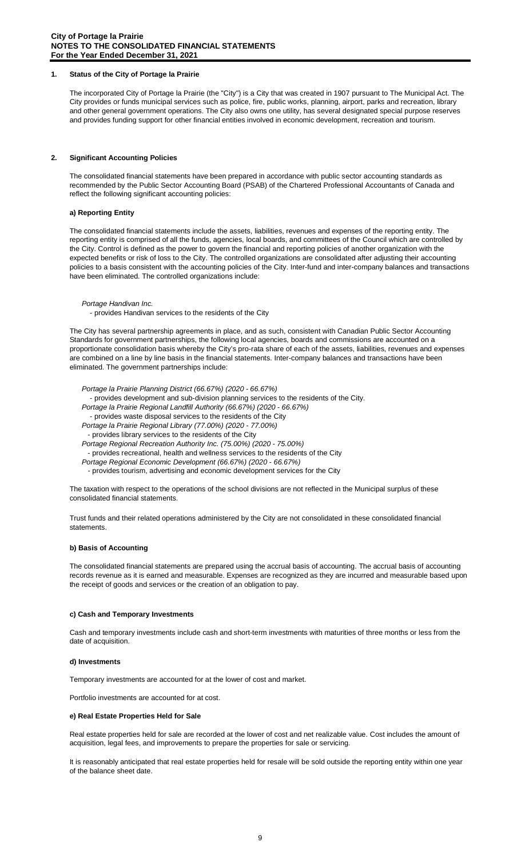#### **1. Status of the City of Portage la Prairie**

The incorporated City of Portage la Prairie (the "City") is a City that was created in 1907 pursuant to The Municipal Act. The City provides or funds municipal services such as police, fire, public works, planning, airport, parks and recreation, library and other general government operations. The City also owns one utility, has several designated special purpose reserves and provides funding support for other financial entities involved in economic development, recreation and tourism.

#### **2. Significant Accounting Policies**

The consolidated financial statements have been prepared in accordance with public sector accounting standards as recommended by the Public Sector Accounting Board (PSAB) of the Chartered Professional Accountants of Canada and reflect the following significant accounting policies:

#### **a) Reporting Entity**

The consolidated financial statements include the assets, liabilities, revenues and expenses of the reporting entity. The reporting entity is comprised of all the funds, agencies, local boards, and committees of the Council which are controlled by the City. Control is defined as the power to govern the financial and reporting policies of another organization with the expected benefits or risk of loss to the City. The controlled organizations are consolidated after adjusting their accounting policies to a basis consistent with the accounting policies of the City. Inter-fund and inter-company balances and transactions have been eliminated. The controlled organizations include:

*Portage Handivan Inc.*

- provides Handivan services to the residents of the City

The City has several partnership agreements in place, and as such, consistent with Canadian Public Sector Accounting Standards for government partnerships, the following local agencies, boards and commissions are accounted on a proportionate consolidation basis whereby the City's pro-rata share of each of the assets, liabilities, revenues and expenses are combined on a line by line basis in the financial statements. Inter-company balances and transactions have been eliminated. The government partnerships include:

*Portage la Prairie Planning District (66.67%) (2020 - 66.67%)* - provides development and sub-division planning services to the residents of the City. *Portage la Prairie Regional Landfill Authority (66.67%) (2020 - 66.67%)* - provides waste disposal services to the residents of the City *Portage la Prairie Regional Library (77.00%) (2020 - 77.00%)* - provides library services to the residents of the City *Portage Regional Recreation Authority Inc. (75.00%) (2020 - 75.00%)* - provides recreational, health and wellness services to the residents of the City *Portage Regional Economic Development (66.67%) (2020 - 66.67%)* - provides tourism, advertising and economic development services for the City

The taxation with respect to the operations of the school divisions are not reflected in the Municipal surplus of these consolidated financial statements.

Trust funds and their related operations administered by the City are not consolidated in these consolidated financial statements.

#### **b) Basis of Accounting**

The consolidated financial statements are prepared using the accrual basis of accounting. The accrual basis of accounting records revenue as it is earned and measurable. Expenses are recognized as they are incurred and measurable based upon the receipt of goods and services or the creation of an obligation to pay.

#### **c) Cash and Temporary Investments**

Cash and temporary investments include cash and short-term investments with maturities of three months or less from the date of acquisition.

#### **d) Investments**

Temporary investments are accounted for at the lower of cost and market.

Portfolio investments are accounted for at cost.

#### **e) Real Estate Properties Held for Sale**

Real estate properties held for sale are recorded at the lower of cost and net realizable value. Cost includes the amount of acquisition, legal fees, and improvements to prepare the properties for sale or servicing.

It is reasonably anticipated that real estate properties held for resale will be sold outside the reporting entity within one year of the balance sheet date.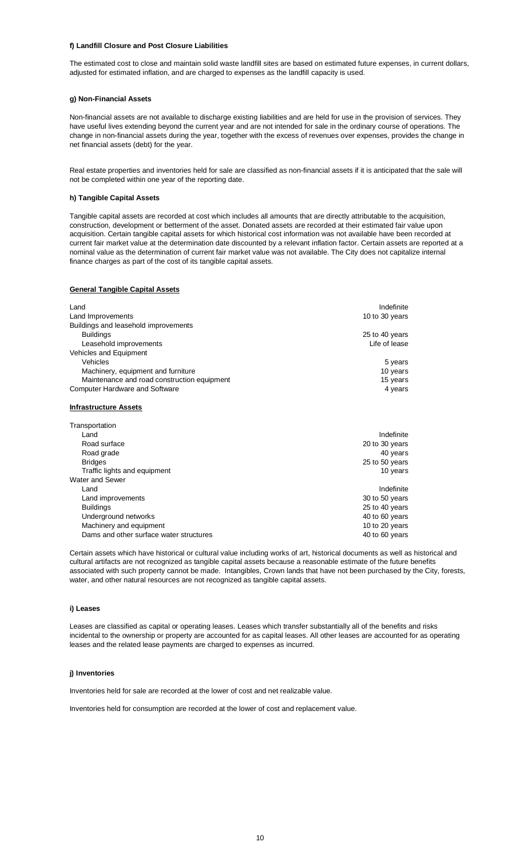#### **f) Landfill Closure and Post Closure Liabilities**

The estimated cost to close and maintain solid waste landfill sites are based on estimated future expenses, in current dollars, adjusted for estimated inflation, and are charged to expenses as the landfill capacity is used.

#### **g) Non-Financial Assets**

Non-financial assets are not available to discharge existing liabilities and are held for use in the provision of services. They have useful lives extending beyond the current year and are not intended for sale in the ordinary course of operations. The change in non-financial assets during the year, together with the excess of revenues over expenses, provides the change in net financial assets (debt) for the year.

Real estate properties and inventories held for sale are classified as non-financial assets if it is anticipated that the sale will not be completed within one year of the reporting date.

#### **h) Tangible Capital Assets**

Tangible capital assets are recorded at cost which includes all amounts that are directly attributable to the acquisition, construction, development or betterment of the asset. Donated assets are recorded at their estimated fair value upon acquisition. Certain tangible capital assets for which historical cost information was not available have been recorded at current fair market value at the determination date discounted by a relevant inflation factor. Certain assets are reported at a nominal value as the determination of current fair market value was not available. The City does not capitalize internal finance charges as part of the cost of its tangible capital assets.

#### **General Tangible Capital Assets**

| Land                                        | Indefinite     |
|---------------------------------------------|----------------|
| Land Improvements                           | 10 to 30 years |
| Buildings and leasehold improvements        |                |
| <b>Buildings</b>                            | 25 to 40 years |
| Leasehold improvements                      | Life of lease  |
| Vehicles and Equipment                      |                |
| Vehicles                                    | 5 years        |
| Machinery, equipment and furniture          | 10 years       |
| Maintenance and road construction equipment | 15 years       |
| <b>Computer Hardware and Software</b>       | 4 years        |
|                                             |                |

#### **Infrastructure Assets**

| Transportation                          |                |
|-----------------------------------------|----------------|
| Land                                    | Indefinite     |
| Road surface                            | 20 to 30 years |
| Road grade                              | 40 years       |
| <b>Bridges</b>                          | 25 to 50 years |
| Traffic lights and equipment            | 10 years       |
| Water and Sewer                         |                |
| Land                                    | Indefinite     |
| Land improvements                       | 30 to 50 years |
| <b>Buildings</b>                        | 25 to 40 years |
| Underground networks                    | 40 to 60 years |
| Machinery and equipment                 | 10 to 20 years |
| Dams and other surface water structures | 40 to 60 years |

Certain assets which have historical or cultural value including works of art, historical documents as well as historical and cultural artifacts are not recognized as tangible capital assets because a reasonable estimate of the future benefits associated with such property cannot be made. Intangibles, Crown lands that have not been purchased by the City, forests, water, and other natural resources are not recognized as tangible capital assets.

#### **i) Leases**

Leases are classified as capital or operating leases. Leases which transfer substantially all of the benefits and risks incidental to the ownership or property are accounted for as capital leases. All other leases are accounted for as operating leases and the related lease payments are charged to expenses as incurred.

#### **j) Inventories**

Inventories held for sale are recorded at the lower of cost and net realizable value.

Inventories held for consumption are recorded at the lower of cost and replacement value.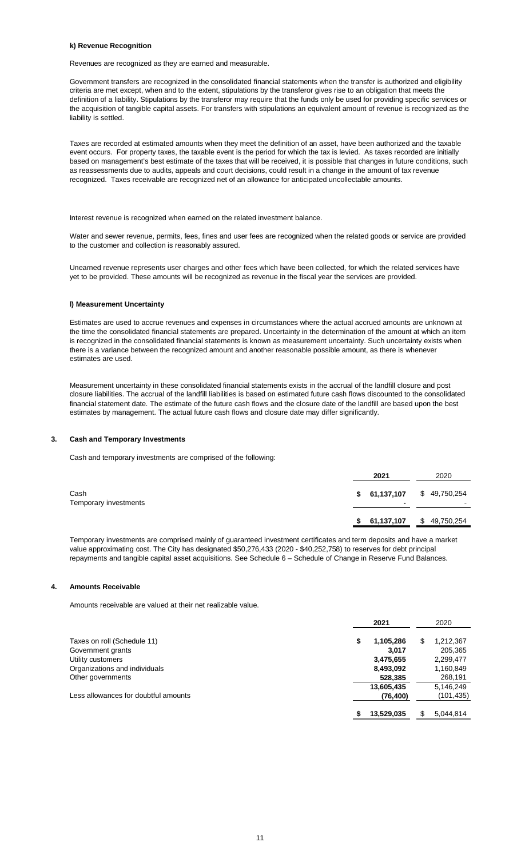#### **k) Revenue Recognition**

Revenues are recognized as they are earned and measurable.

Government transfers are recognized in the consolidated financial statements when the transfer is authorized and eligibility criteria are met except, when and to the extent, stipulations by the transferor gives rise to an obligation that meets the definition of a liability. Stipulations by the transferor may require that the funds only be used for providing specific services or the acquisition of tangible capital assets. For transfers with stipulations an equivalent amount of revenue is recognized as the liability is settled.

Taxes are recorded at estimated amounts when they meet the definition of an asset, have been authorized and the taxable event occurs. For property taxes, the taxable event is the period for which the tax is levied. As taxes recorded are initially based on management's best estimate of the taxes that will be received, it is possible that changes in future conditions, such as reassessments due to audits, appeals and court decisions, could result in a change in the amount of tax revenue recognized. Taxes receivable are recognized net of an allowance for anticipated uncollectable amounts.

Interest revenue is recognized when earned on the related investment balance.

Water and sewer revenue, permits, fees, fines and user fees are recognized when the related goods or service are provided to the customer and collection is reasonably assured.

Unearned revenue represents user charges and other fees which have been collected, for which the related services have yet to be provided. These amounts will be recognized as revenue in the fiscal year the services are provided.

#### **l) Measurement Uncertainty**

Estimates are used to accrue revenues and expenses in circumstances where the actual accrued amounts are unknown at the time the consolidated financial statements are prepared. Uncertainty in the determination of the amount at which an item is recognized in the consolidated financial statements is known as measurement uncertainty. Such uncertainty exists when there is a variance between the recognized amount and another reasonable possible amount, as there is whenever estimates are used.

Measurement uncertainty in these consolidated financial statements exists in the accrual of the landfill closure and post closure liabilities. The accrual of the landfill liabilities is based on estimated future cash flows discounted to the consolidated financial statement date. The estimate of the future cash flows and the closure date of the landfill are based upon the best estimates by management. The actual future cash flows and closure date may differ significantly.

#### **3. Cash and Temporary Investments**

Cash and temporary investments are comprised of the following:

|                               |    | 2020<br>2021                                                              |
|-------------------------------|----|---------------------------------------------------------------------------|
| Cash<br>Temporary investments |    | $$61,137,107$ $$49,750,254$<br>$\blacksquare$<br>$\overline{\phantom{a}}$ |
|                               | S. | 61,137,107<br>\$49,750,254                                                |

Temporary investments are comprised mainly of guaranteed investment certificates and term deposits and have a market value approximating cost. The City has designated \$50,276,433 (2020 - \$40,252,758) to reserves for debt principal repayments and tangible capital asset acquisitions. See Schedule 6 – Schedule of Change in Reserve Fund Balances.

#### **4. Amounts Receivable**

Amounts receivable are valued at their net realizable value.

|                                      | 2021            |    | 2020       |  |
|--------------------------------------|-----------------|----|------------|--|
| Taxes on roll (Schedule 11)          | \$<br>1,105,286 | \$ | 1,212,367  |  |
| Government grants                    | 3.017           |    | 205,365    |  |
| Utility customers                    | 3,475,655       |    | 2,299,477  |  |
| Organizations and individuals        | 8,493,092       |    | 1,160,849  |  |
| Other governments                    | 528,385         |    | 268,191    |  |
|                                      | 13,605,435      |    | 5,146,249  |  |
| Less allowances for doubtful amounts | (76, 400)       |    | (101, 435) |  |
|                                      | 13,529,035      |    | 5,044,814  |  |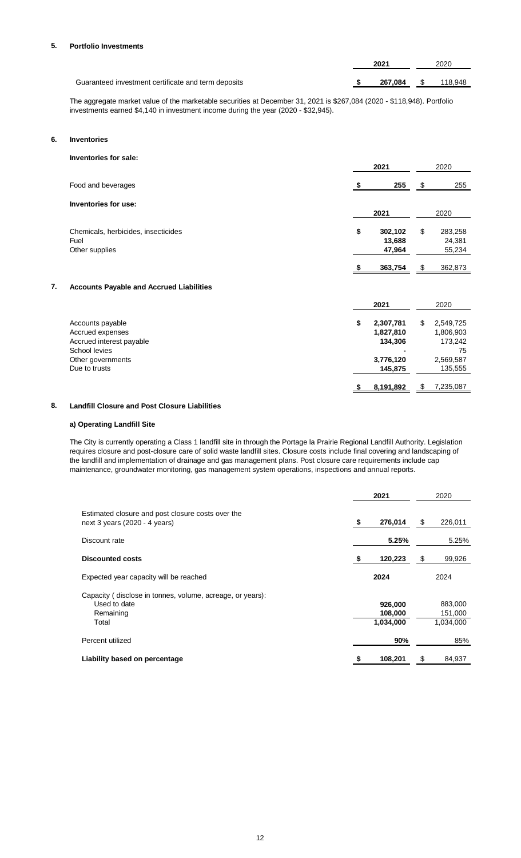#### **5. Portfolio Investments**

|                                                     | 2021 |         | 2020 |         |
|-----------------------------------------------------|------|---------|------|---------|
| Guaranteed investment certificate and term deposits |      | 267.084 |      | 118.948 |

The aggregate market value of the marketable securities at December 31, 2021 is \$267,084 (2020 - \$118,948). Portfolio investments earned \$4,140 in investment income during the year (2020 - \$32,945).

#### **6. Inventories**

| Inventories for sale:                                 |                 |                 |
|-------------------------------------------------------|-----------------|-----------------|
|                                                       | 2021            | 2020            |
| Food and beverages                                    | 255             | \$<br>255       |
| Inventories for use:                                  |                 |                 |
|                                                       | 2021            | 2020            |
| Chemicals, herbicides, insecticides                   | \$<br>302,102   | \$<br>283,258   |
| Fuel                                                  | 13,688          | 24,381          |
| Other supplies                                        | 47,964          | 55,234          |
|                                                       | 363,754         | \$<br>362,873   |
| 7.<br><b>Accounts Payable and Accrued Liabilities</b> |                 |                 |
|                                                       | 2021            | 2020            |
| Accounts payable                                      | \$<br>2,307,781 | \$<br>2,549,725 |
| Accrued expenses                                      | 1,827,810       | 1,806,903       |
| Accrued interest payable                              | 134,306         | 173,242         |
| School levies                                         |                 | 75              |
| Other governments                                     | 3,776,120       | 2,569,587       |
| Due to trusts                                         | 145,875         | 135,555         |
|                                                       | 8,191,892       | \$<br>7,235,087 |

#### **8. Landfill Closure and Post Closure Liabilities**

#### **a) Operating Landfill Site**

The City is currently operating a Class 1 landfill site in through the Portage la Prairie Regional Landfill Authority. Legislation requires closure and post-closure care of solid waste landfill sites. Closure costs include final covering and landscaping of the landfill and implementation of drainage and gas management plans. Post closure care requirements include cap maintenance, groundwater monitoring, gas management system operations, inspections and annual reports.

|                                                                                                 | 2021 |                                 | 2020                            |  |
|-------------------------------------------------------------------------------------------------|------|---------------------------------|---------------------------------|--|
| Estimated closure and post closure costs over the<br>next $3$ years (2020 - 4 years)            | \$   | 276,014                         | \$<br>226,011                   |  |
| Discount rate                                                                                   |      | 5.25%                           | 5.25%                           |  |
| <b>Discounted costs</b>                                                                         |      | 120,223                         | \$<br>99,926                    |  |
| Expected year capacity will be reached                                                          |      | 2024                            | 2024                            |  |
| Capacity (disclose in tonnes, volume, acreage, or years):<br>Used to date<br>Remaining<br>Total |      | 926,000<br>108,000<br>1,034,000 | 883,000<br>151,000<br>1,034,000 |  |
| Percent utilized                                                                                |      | 90%                             | 85%                             |  |
| Liability based on percentage                                                                   |      | 108,201                         | 84,937                          |  |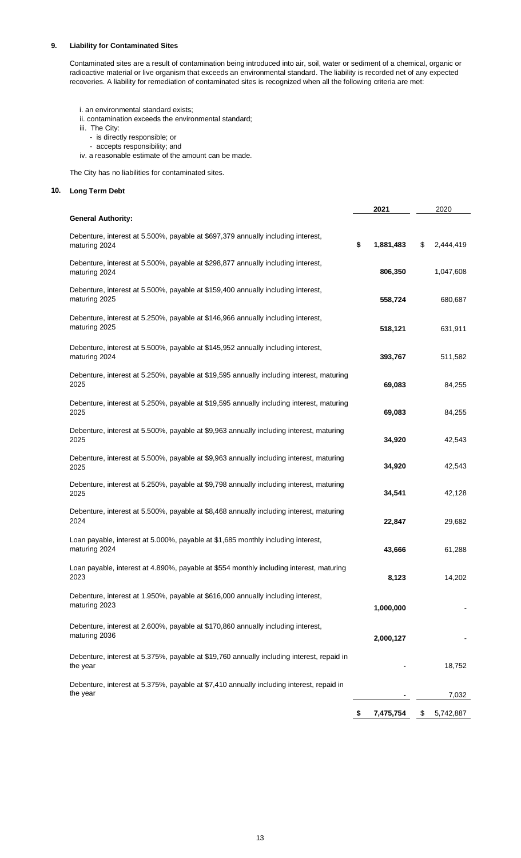#### **9. Liability for Contaminated Sites**

Contaminated sites are a result of contamination being introduced into air, soil, water or sediment of a chemical, organic or radioactive material or live organism that exceeds an environmental standard. The liability is recorded net of any expected recoveries. A liability for remediation of contaminated sites is recognized when all the following criteria are met:

- i. an environmental standard exists;
- ii. contamination exceeds the environmental standard;
- iii. The City:
- is directly responsible; or
- accepts responsibility; and
	- iv. a reasonable estimate of the amount can be made.

The City has no liabilities for contaminated sites.

#### **10. Long Term Debt**

|                                                                                                       | 2021            | 2020            |
|-------------------------------------------------------------------------------------------------------|-----------------|-----------------|
| <b>General Authority:</b>                                                                             |                 |                 |
| Debenture, interest at 5.500%, payable at \$697,379 annually including interest,<br>maturing 2024     | \$<br>1,881,483 | \$<br>2,444,419 |
| Debenture, interest at 5.500%, payable at \$298,877 annually including interest,<br>maturing 2024     | 806,350         | 1,047,608       |
| Debenture, interest at 5.500%, payable at \$159,400 annually including interest,<br>maturing 2025     | 558,724         | 680,687         |
| Debenture, interest at 5.250%, payable at \$146,966 annually including interest,<br>maturing 2025     | 518,121         | 631,911         |
| Debenture, interest at 5.500%, payable at \$145,952 annually including interest,<br>maturing 2024     | 393,767         | 511,582         |
| Debenture, interest at 5.250%, payable at \$19,595 annually including interest, maturing<br>2025      | 69,083          | 84,255          |
| Debenture, interest at 5.250%, payable at \$19,595 annually including interest, maturing<br>2025      | 69,083          | 84,255          |
| Debenture, interest at 5.500%, payable at \$9,963 annually including interest, maturing<br>2025       | 34,920          | 42,543          |
| Debenture, interest at 5.500%, payable at \$9,963 annually including interest, maturing<br>2025       | 34,920          | 42,543          |
| Debenture, interest at 5.250%, payable at \$9,798 annually including interest, maturing<br>2025       | 34,541          | 42,128          |
| Debenture, interest at 5.500%, payable at \$8,468 annually including interest, maturing<br>2024       | 22,847          | 29,682          |
| Loan payable, interest at 5.000%, payable at \$1,685 monthly including interest,<br>maturing 2024     | 43,666          | 61,288          |
| Loan payable, interest at 4.890%, payable at \$554 monthly including interest, maturing<br>2023       | 8,123           | 14,202          |
| Debenture, interest at 1.950%, payable at \$616,000 annually including interest,<br>maturing 2023     | 1,000,000       |                 |
| Debenture, interest at 2.600%, payable at \$170,860 annually including interest,<br>maturing 2036     | 2,000,127       |                 |
| Debenture, interest at 5.375%, payable at \$19,760 annually including interest, repaid in<br>the year |                 | 18,752          |
| Debenture, interest at 5.375%, payable at \$7,410 annually including interest, repaid in              |                 |                 |
| the year                                                                                              |                 | 7,032           |
|                                                                                                       | 7,475,754<br>\$ | \$<br>5,742,887 |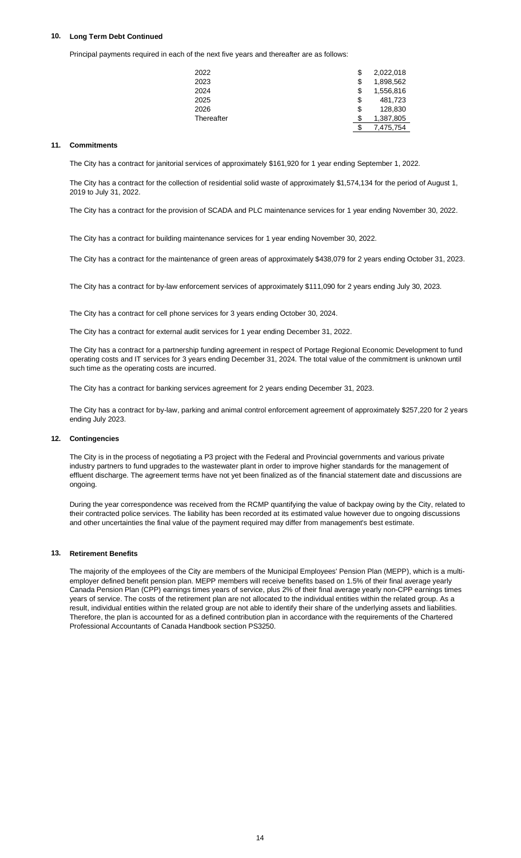#### **10. Long Term Debt Continued**

Principal payments required in each of the next five years and thereafter are as follows:

| 2022       | \$ | 2,022,018 |
|------------|----|-----------|
| 2023       | \$ | 1,898,562 |
| 2024       |    | 1,556,816 |
| 2025       | S  | 481,723   |
| 2026       | \$ | 128,830   |
| Thereafter |    | 1,387,805 |
|            |    | 7,475,754 |

#### **11. Commitments**

The City has a contract for janitorial services of approximately \$161,920 for 1 year ending September 1, 2022.

The City has a contract for the collection of residential solid waste of approximately \$1,574,134 for the period of August 1, 2019 to July 31, 2022.

The City has a contract for the provision of SCADA and PLC maintenance services for 1 year ending November 30, 2022.

The City has a contract for building maintenance services for 1 year ending November 30, 2022.

The City has a contract for the maintenance of green areas of approximately \$438,079 for 2 years ending October 31, 2023.

The City has a contract for by-law enforcement services of approximately \$111,090 for 2 years ending July 30, 2023.

The City has a contract for cell phone services for 3 years ending October 30, 2024.

The City has a contract for external audit services for 1 year ending December 31, 2022.

The City has a contract for a partnership funding agreement in respect of Portage Regional Economic Development to fund operating costs and IT services for 3 years ending December 31, 2024. The total value of the commitment is unknown until such time as the operating costs are incurred.

The City has a contract for banking services agreement for 2 years ending December 31, 2023.

The City has a contract for by-law, parking and animal control enforcement agreement of approximately \$257,220 for 2 years ending July 2023.

### **12. Contingencies**

The City is in the process of negotiating a P3 project with the Federal and Provincial governments and various private industry partners to fund upgrades to the wastewater plant in order to improve higher standards for the management of effluent discharge. The agreement terms have not yet been finalized as of the financial statement date and discussions are ongoing.

During the year correspondence was received from the RCMP quantifying the value of backpay owing by the City, related to their contracted police services. The liability has been recorded at its estimated value however due to ongoing discussions and other uncertainties the final value of the payment required may differ from management's best estimate.

#### **13. Retirement Benefits**

The majority of the employees of the City are members of the Municipal Employees' Pension Plan (MEPP), which is a multiemployer defined benefit pension plan. MEPP members will receive benefits based on 1.5% of their final average yearly Canada Pension Plan (CPP) earnings times years of service, plus 2% of their final average yearly non-CPP earnings times years of service. The costs of the retirement plan are not allocated to the individual entities within the related group. As a result, individual entities within the related group are not able to identify their share of the underlying assets and liabilities. Therefore, the plan is accounted for as a defined contribution plan in accordance with the requirements of the Chartered Professional Accountants of Canada Handbook section PS3250.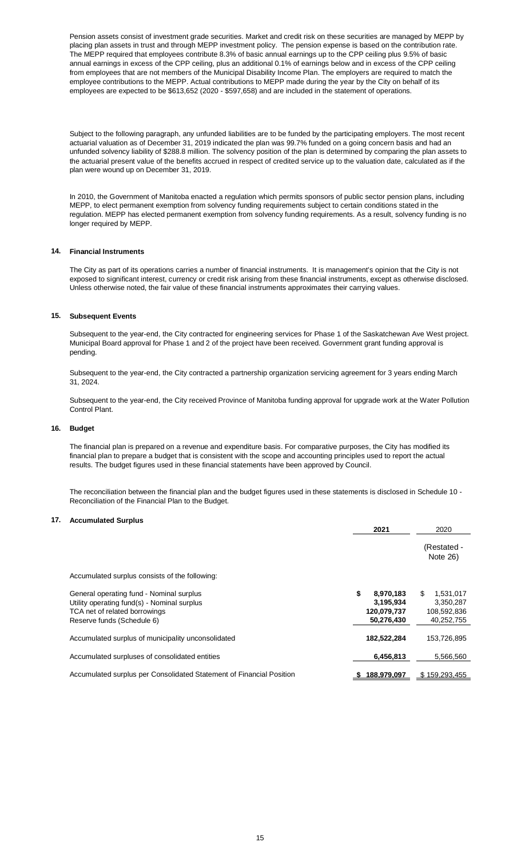Pension assets consist of investment grade securities. Market and credit risk on these securities are managed by MEPP by placing plan assets in trust and through MEPP investment policy. The pension expense is based on the contribution rate. The MEPP required that employees contribute 8.3% of basic annual earnings up to the CPP ceiling plus 9.5% of basic annual earnings in excess of the CPP ceiling, plus an additional 0.1% of earnings below and in excess of the CPP ceiling from employees that are not members of the Municipal Disability Income Plan. The employers are required to match the employee contributions to the MEPP. Actual contributions to MEPP made during the year by the City on behalf of its employees are expected to be \$613,652 (2020 - \$597,658) and are included in the statement of operations.

Subject to the following paragraph, any unfunded liabilities are to be funded by the participating employers. The most recent actuarial valuation as of December 31, 2019 indicated the plan was 99.7% funded on a going concern basis and had an unfunded solvency liability of \$288.8 million. The solvency position of the plan is determined by comparing the plan assets to the actuarial present value of the benefits accrued in respect of credited service up to the valuation date, calculated as if the plan were wound up on December 31, 2019.

In 2010, the Government of Manitoba enacted a regulation which permits sponsors of public sector pension plans, including MEPP, to elect permanent exemption from solvency funding requirements subject to certain conditions stated in the regulation. MEPP has elected permanent exemption from solvency funding requirements. As a result, solvency funding is no longer required by MEPP.

#### **14. Financial Instruments**

The City as part of its operations carries a number of financial instruments. It is management's opinion that the City is not exposed to significant interest, currency or credit risk arising from these financial instruments, except as otherwise disclosed. Unless otherwise noted, the fair value of these financial instruments approximates their carrying values.

#### **15. Subsequent Events**

Subsequent to the year-end, the City contracted for engineering services for Phase 1 of the Saskatchewan Ave West project. Municipal Board approval for Phase 1 and 2 of the project have been received. Government grant funding approval is pending.

Subsequent to the year-end, the City contracted a partnership organization servicing agreement for 3 years ending March 31, 2024.

Subsequent to the year-end, the City received Province of Manitoba funding approval for upgrade work at the Water Pollution Control Plant.

#### **16. Budget**

The financial plan is prepared on a revenue and expenditure basis. For comparative purposes, the City has modified its financial plan to prepare a budget that is consistent with the scope and accounting principles used to report the actual results. The budget figures used in these financial statements have been approved by Council.

The reconciliation between the financial plan and the budget figures used in these statements is disclosed in Schedule 10 -Reconciliation of the Financial Plan to the Budget.

#### **17. Accumulated Surplus**

|                                                                                                                                                        | 2021                                                      | 2020                                                     |  |  |
|--------------------------------------------------------------------------------------------------------------------------------------------------------|-----------------------------------------------------------|----------------------------------------------------------|--|--|
|                                                                                                                                                        |                                                           | (Restated -<br>Note 26)                                  |  |  |
| Accumulated surplus consists of the following:                                                                                                         |                                                           |                                                          |  |  |
| General operating fund - Nominal surplus<br>Utility operating fund(s) - Nominal surplus<br>TCA net of related borrowings<br>Reserve funds (Schedule 6) | \$<br>8,970,183<br>3,195,934<br>120,079,737<br>50,276,430 | S<br>1,531,017<br>3.350.287<br>108,592,836<br>40,252,755 |  |  |
| Accumulated surplus of municipality unconsolidated                                                                                                     | 182,522,284                                               | 153,726,895                                              |  |  |
| Accumulated surpluses of consolidated entities                                                                                                         | 6,456,813                                                 | 5,566,560                                                |  |  |
| Accumulated surplus per Consolidated Statement of Financial Position                                                                                   | 188,979,097                                               | \$159,293,455                                            |  |  |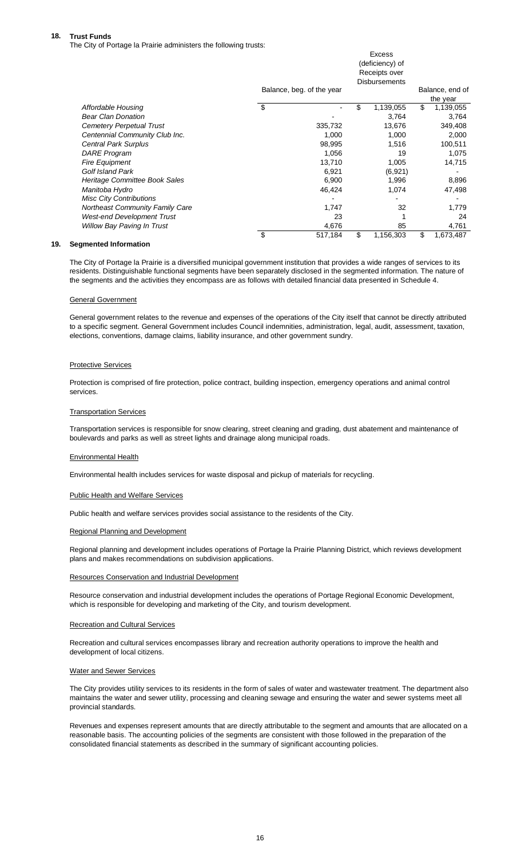#### **18. Trust Funds** The City of Portage la Prairie administers the following trusts:

Balance, beg. of the year Balance, end of the year *Affordable Housing* \$ - \$ 1,139,055 \$ 1,139,055 *Bear Clan Donation* - 3,764 3,764 *Cemetery Perpetual Trust* 335,732 13,676 349,408 **Centennial Community Club Inc.** 1,000 1,000 2,000 **Central Park Surplus** 100,511 **DARE Program** 1,075 *Fire Equipment* 13,710 1,005 14,715 *Golf Island Park* 6,921 (6,921) - *Heritage Committee Book Sales* 6,900 1,996 8,896 *Manitoba Hydro* 46,424 1,074 47,498 *Misc City Contributions Northeast Community Family Care* 1,747 32 1,779 **West-end Development Trust** 24 23 *Willow Bay Paving In Trust* **4.626** 4,676 4,676 4,676 4,761 4,761 4,761 4,761 4,761 4,761 4,761 4,761 4,761 4,761 4,761 4,761 4,761 4,761 4,761 4,761 4,761 4,761 4,761 4,761 4,761 4,761 4,761 4,761 4,761 4,761 4,761 4,761  $1,156,303$  \$ Excess (deficiency) of Receipts over **Disbursements** 

#### **19. Segmented Information**

The City of Portage la Prairie is a diversified municipal government institution that provides a wide ranges of services to its residents. Distinguishable functional segments have been separately disclosed in the segmented information. The nature of the segments and the activities they encompass are as follows with detailed financial data presented in Schedule 4.

#### **General Government**

General government relates to the revenue and expenses of the operations of the City itself that cannot be directly attributed to a specific segment. General Government includes Council indemnities, administration, legal, audit, assessment, taxation, elections, conventions, damage claims, liability insurance, and other government sundry.

#### Protective Services

Protection is comprised of fire protection, police contract, building inspection, emergency operations and animal control services.

#### Transportation Services

Transportation services is responsible for snow clearing, street cleaning and grading, dust abatement and maintenance of boulevards and parks as well as street lights and drainage along municipal roads.

#### Environmental Health

Environmental health includes services for waste disposal and pickup of materials for recycling.

#### Public Health and Welfare Services

Public health and welfare services provides social assistance to the residents of the City.

#### Regional Planning and Development

Regional planning and development includes operations of Portage la Prairie Planning District, which reviews development plans and makes recommendations on subdivision applications.

#### Resources Conservation and Industrial Development

Resource conservation and industrial development includes the operations of Portage Regional Economic Development, which is responsible for developing and marketing of the City, and tourism development.

#### Recreation and Cultural Services

Recreation and cultural services encompasses library and recreation authority operations to improve the health and development of local citizens.

#### Water and Sewer Services

The City provides utility services to its residents in the form of sales of water and wastewater treatment. The department also maintains the water and sewer utility, processing and cleaning sewage and ensuring the water and sewer systems meet all provincial standards.

Revenues and expenses represent amounts that are directly attributable to the segment and amounts that are allocated on a reasonable basis. The accounting policies of the segments are consistent with those followed in the preparation of the consolidated financial statements as described in the summary of significant accounting policies.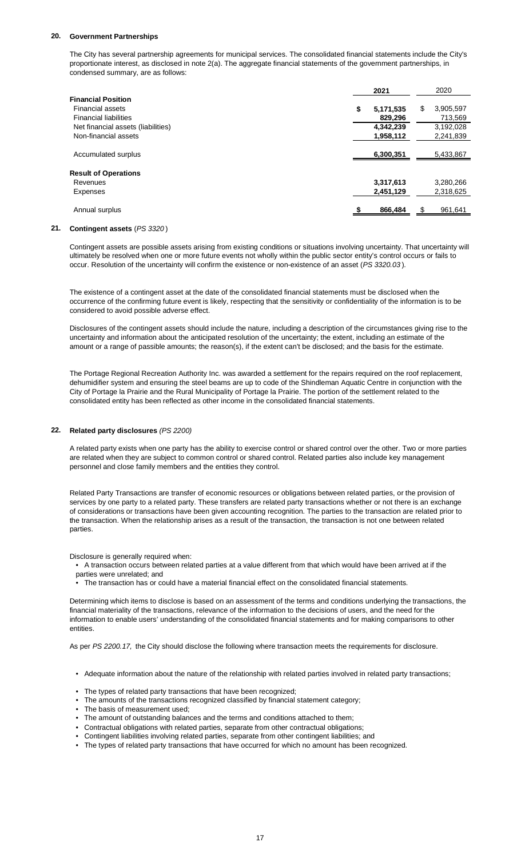#### **20. Government Partnerships**

The City has several partnership agreements for municipal services. The consolidated financial statements include the City's proportionate interest, as disclosed in note 2(a). The aggregate financial statements of the government partnerships, in condensed summary, are as follows:

|                                    | 2021            |     |           |  |
|------------------------------------|-----------------|-----|-----------|--|
| <b>Financial Position</b>          |                 |     |           |  |
| <b>Financial assets</b>            | \$<br>5,171,535 | S   | 3,905,597 |  |
| <b>Financial liabilities</b>       | 829,296         |     | 713,569   |  |
| Net financial assets (liabilities) | 4,342,239       |     | 3,192,028 |  |
| Non-financial assets               | 1,958,112       |     | 2,241,839 |  |
|                                    |                 |     |           |  |
| Accumulated surplus                | 6,300,351       |     | 5,433,867 |  |
|                                    |                 |     |           |  |
| <b>Result of Operations</b>        |                 |     |           |  |
| Revenues                           | 3,317,613       |     | 3,280,266 |  |
| <b>Expenses</b>                    | 2,451,129       |     | 2,318,625 |  |
|                                    |                 |     |           |  |
| Annual surplus                     | 866,484         | \$. | 961,641   |  |
|                                    |                 |     |           |  |

#### **21. Contingent assets** (*PS 3320* )

Contingent assets are possible assets arising from existing conditions or situations involving uncertainty. That uncertainty will ultimately be resolved when one or more future events not wholly within the public sector entity's control occurs or fails to occur. Resolution of the uncertainty will confirm the existence or non-existence of an asset (*PS 3320.03* ).

The existence of a contingent asset at the date of the consolidated financial statements must be disclosed when the occurrence of the confirming future event is likely, respecting that the sensitivity or confidentiality of the information is to be considered to avoid possible adverse effect.

Disclosures of the contingent assets should include the nature, including a description of the circumstances giving rise to the uncertainty and information about the anticipated resolution of the uncertainty; the extent, including an estimate of the amount or a range of passible amounts; the reason(s), if the extent can't be disclosed; and the basis for the estimate.

The Portage Regional Recreation Authority Inc. was awarded a settlement for the repairs required on the roof replacement, dehumidifier system and ensuring the steel beams are up to code of the Shindleman Aquatic Centre in conjunction with the City of Portage la Prairie and the Rural Municipality of Portage la Prairie. The portion of the settlement related to the consolidated entity has been reflected as other income in the consolidated financial statements.

#### **22. Related party disclosures** *(PS 2200)*

A related party exists when one party has the ability to exercise control or shared control over the other. Two or more parties are related when they are subject to common control or shared control. Related parties also include key management personnel and close family members and the entities they control.

Related Party Transactions are transfer of economic resources or obligations between related parties, or the provision of services by one party to a related party. These transfers are related party transactions whether or not there is an exchange of considerations or transactions have been given accounting recognition. The parties to the transaction are related prior to the transaction. When the relationship arises as a result of the transaction, the transaction is not one between related parties.

Disclosure is generally required when:

• A transaction occurs between related parties at a value different from that which would have been arrived at if the

- parties were unrelated; and
- The transaction has or could have a material financial effect on the consolidated financial statements.

Determining which items to disclose is based on an assessment of the terms and conditions underlying the transactions, the financial materiality of the transactions, relevance of the information to the decisions of users, and the need for the information to enable users' understanding of the consolidated financial statements and for making comparisons to other entities.

As per *PS 2200.17,* the City should disclose the following where transaction meets the requirements for disclosure.

- Adequate information about the nature of the relationship with related parties involved in related party transactions;
- The types of related party transactions that have been recognized;
- The amounts of the transactions recognized classified by financial statement category;
- The basis of measurement used:
- The amount of outstanding balances and the terms and conditions attached to them;
- Contractual obligations with related parties, separate from other contractual obligations;
- Contingent liabilities involving related parties, separate from other contingent liabilities; and
- The types of related party transactions that have occurred for which no amount has been recognized.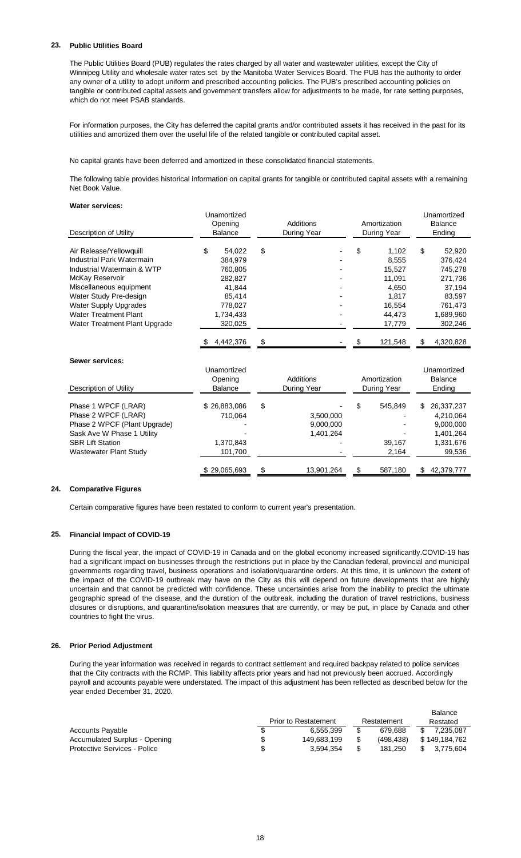#### **23. Public Utilities Board**

The Public Utilities Board (PUB) regulates the rates charged by all water and wastewater utilities, except the City of Winnipeg Utility and wholesale water rates set by the Manitoba Water Services Board. The PUB has the authority to order any owner of a utility to adopt uniform and prescribed accounting policies. The PUB's prescribed accounting policies on tangible or contributed capital assets and government transfers allow for adjustments to be made, for rate setting purposes, which do not meet PSAB standards.

For information purposes, the City has deferred the capital grants and/or contributed assets it has received in the past for its utilities and amortized them over the useful life of the related tangible or contributed capital asset.

No capital grants have been deferred and amortized in these consolidated financial statements.

The following table provides historical information on capital grants for tangible or contributed capital assets with a remaining Net Book Value.

#### **Water services:**

| Description of Utility        | Unamortized<br>Opening<br>Balance | Additions<br>During Year |    | Amortization<br>During Year | Unamortized<br><b>Balance</b><br>Ending |           |  |
|-------------------------------|-----------------------------------|--------------------------|----|-----------------------------|-----------------------------------------|-----------|--|
| Air Release/Yellowquill       | \$<br>54.022                      | \$                       | \$ | 1,102                       | \$                                      | 52,920    |  |
| Industrial Park Watermain     | 384.979                           |                          |    | 8,555                       |                                         | 376,424   |  |
| Industrial Watermain & WTP    | 760.805                           |                          |    | 15.527                      |                                         | 745.278   |  |
| McKay Reservoir               | 282,827                           |                          |    | 11.091                      |                                         | 271,736   |  |
| Miscellaneous equipment       | 41.844                            |                          |    | 4.650                       |                                         | 37,194    |  |
| Water Study Pre-design        | 85.414                            |                          |    | 1,817                       |                                         | 83,597    |  |
| <b>Water Supply Upgrades</b>  | 778.027                           |                          |    | 16.554                      |                                         | 761,473   |  |
| <b>Water Treatment Plant</b>  | 1,734,433                         |                          |    | 44.473                      |                                         | 1,689,960 |  |
| Water Treatment Plant Upgrade | 320.025                           |                          |    | 17,779                      |                                         | 302.246   |  |
|                               | 4,442,376                         | \$                       | \$ | 121.548                     | \$.                                     | 4,320,828 |  |

| Sewer services:              |                                   |                          |     |                             |                                         |            |  |
|------------------------------|-----------------------------------|--------------------------|-----|-----------------------------|-----------------------------------------|------------|--|
| Description of Utility       | Unamortized<br>Opening<br>Balance | Additions<br>During Year |     | Amortization<br>During Year | Unamortized<br><b>Balance</b><br>Ending |            |  |
|                              |                                   |                          |     |                             |                                         |            |  |
| Phase 1 WPCF (LRAR)          | \$26,883,086                      | \$                       | \$  | 545,849                     | \$                                      | 26,337,237 |  |
| Phase 2 WPCF (LRAR)          | 710.064                           | 3,500,000                |     |                             |                                         | 4.210.064  |  |
| Phase 2 WPCF (Plant Upgrade) |                                   | 9,000,000                |     |                             |                                         | 9,000,000  |  |
| Sask Ave W Phase 1 Utility   |                                   | 1,401,264                |     |                             |                                         | 1,401,264  |  |
| <b>SBR Lift Station</b>      | 1,370,843                         |                          |     | 39.167                      |                                         | 1,331,676  |  |
| Wastewater Plant Study       | 101,700                           |                          |     | 2,164                       |                                         | 99,536     |  |
|                              |                                   |                          |     |                             |                                         |            |  |
|                              | \$29,065,693                      | \$<br>13,901,264         | \$. | 587,180                     |                                         | 42,379,777 |  |

#### **24. Comparative Figures**

Certain comparative figures have been restated to conform to current year's presentation.

#### **25. Financial Impact of COVID-19**

During the fiscal year, the impact of COVID-19 in Canada and on the global economy increased significantly.COVID-19 has had a significant impact on businesses through the restrictions put in place by the Canadian federal, provincial and municipal governments regarding travel, business operations and isolation/quarantine orders. At this time, it is unknown the extent of the impact of the COVID-19 outbreak may have on the City as this will depend on future developments that are highly uncertain and that cannot be predicted with confidence. These uncertainties arise from the inability to predict the ultimate geographic spread of the disease, and the duration of the outbreak, including the duration of travel restrictions, business closures or disruptions, and quarantine/isolation measures that are currently, or may be put, in place by Canada and other countries to fight the virus.

#### **26. Prior Period Adjustment**

During the year information was received in regards to contract settlement and required backpay related to police services that the City contracts with the RCMP. This liability affects prior years and had not previously been accrued. Accordingly payroll and accounts payable were understated. The impact of this adjustment has been reflected as described below for the year ended December 31, 2020.

|                               |                             |             |    | paianvu       |
|-------------------------------|-----------------------------|-------------|----|---------------|
|                               | <b>Prior to Restatement</b> | Restatement |    | Restated      |
| <b>Accounts Payable</b>       | 6.555.399                   | 679.688     |    | 7.235.087     |
| Accumulated Surplus - Opening | 149.683.199                 | (498.438)   |    | \$149,184,762 |
| Protective Services - Police  | 3.594.354                   | 181.250     | S. | 3.775.604     |

Balance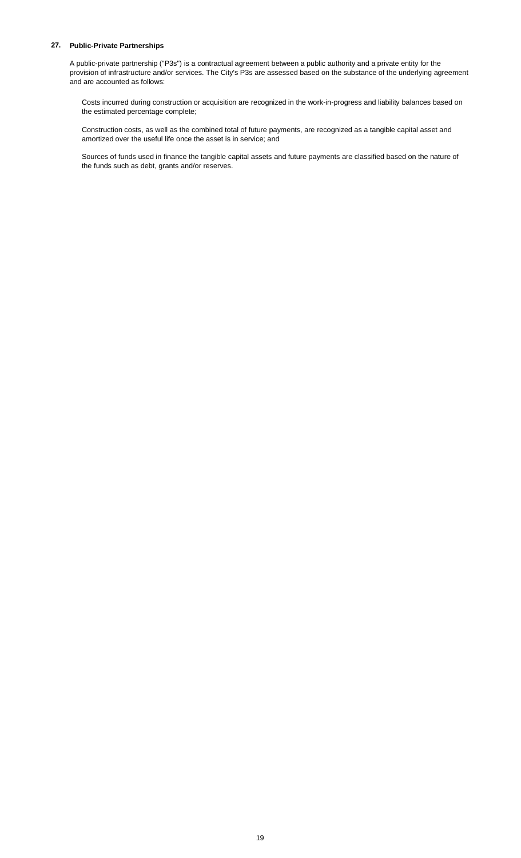#### **27. Public-Private Partnerships**

A public-private partnership ("P3s") is a contractual agreement between a public authority and a private entity for the provision of infrastructure and/or services. The City's P3s are assessed based on the substance of the underlying agreement and are accounted as follows:

Costs incurred during construction or acquisition are recognized in the work-in-progress and liability balances based on the estimated percentage complete;

Construction costs, as well as the combined total of future payments, are recognized as a tangible capital asset and amortized over the useful life once the asset is in service; and

Sources of funds used in finance the tangible capital assets and future payments are classified based on the nature of the funds such as debt, grants and/or reserves.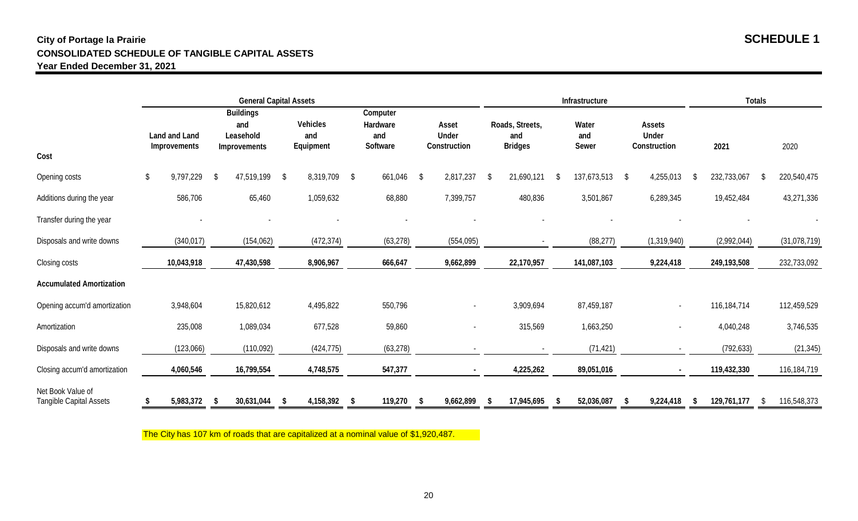### **City of Portage la Prairie SCHEDULE 1 CONSOLIDATED SCHEDULE OF TANGIBLE CAPITAL ASSETS Year Ended December 31, 2021**

|                                              |    | <b>General Capital Assets</b> |    |                                                      |      |                              |    |                                         |    |                                |    | Infrastructure                           |      |                       |     |                                 | Totals |             |     |              |
|----------------------------------------------|----|-------------------------------|----|------------------------------------------------------|------|------------------------------|----|-----------------------------------------|----|--------------------------------|----|------------------------------------------|------|-----------------------|-----|---------------------------------|--------|-------------|-----|--------------|
| Cost                                         |    | Land and Land<br>Improvements |    | <b>Buildings</b><br>and<br>Leasehold<br>Improvements |      | Vehicles<br>and<br>Equipment |    | Computer<br>Hardware<br>and<br>Software |    | Asset<br>Under<br>Construction |    | Roads, Streets,<br>and<br><b>Bridges</b> |      | Water<br>and<br>Sewer |     | Assets<br>Under<br>Construction |        | 2021        |     | 2020         |
| Opening costs                                | S. | 9,797,229                     | \$ | 47,519,199                                           | - \$ | 8,319,709                    | \$ | 661,046                                 | \$ | 2,817,237                      | \$ | 21,690,121                               | - \$ | 137,673,513           | -\$ | 4,255,013                       | -S     | 232,733,067 | -\$ | 220,540,475  |
| Additions during the year                    |    | 586,706                       |    | 65,460                                               |      | 1,059,632                    |    | 68,880                                  |    | 7,399,757                      |    | 480,836                                  |      | 3,501,867             |     | 6,289,345                       |        | 19,452,484  |     | 43,271,336   |
| Transfer during the year                     |    |                               |    |                                                      |      |                              |    |                                         |    |                                |    |                                          |      |                       |     |                                 |        |             |     |              |
| Disposals and write downs                    |    | (340, 017)                    |    | (154, 062)                                           |      | (472, 374)                   |    | (63, 278)                               |    | (554, 095)                     |    |                                          |      | (88, 277)             |     | (1,319,940)                     |        | (2,992,044) |     | (31,078,719) |
| Closing costs                                |    | 10,043,918                    |    | 47,430,598                                           |      | 8,906,967                    |    | 666,647                                 |    | 9,662,899                      |    | 22,170,957                               |      | 141,087,103           |     | 9,224,418                       |        | 249,193,508 |     | 232,733,092  |
| <b>Accumulated Amortization</b>              |    |                               |    |                                                      |      |                              |    |                                         |    |                                |    |                                          |      |                       |     |                                 |        |             |     |              |
| Opening accum'd amortization                 |    | 3,948,604                     |    | 15,820,612                                           |      | 4,495,822                    |    | 550,796                                 |    | $\sim$                         |    | 3,909,694                                |      | 87,459,187            |     |                                 |        | 116,184,714 |     | 112,459,529  |
| Amortization                                 |    | 235,008                       |    | 1,089,034                                            |      | 677,528                      |    | 59,860                                  |    |                                |    | 315,569                                  |      | 1,663,250             |     |                                 |        | 4,040,248   |     | 3,746,535    |
| Disposals and write downs                    |    | (123, 066)                    |    | (110,092)                                            |      | (424, 775)                   |    | (63, 278)                               |    |                                |    |                                          |      | (71, 421)             |     |                                 |        | (792, 633)  |     | (21, 345)    |
| Closing accum'd amortization                 |    | 4,060,546                     |    | 16,799,554                                           |      | 4,748,575                    |    | 547,377                                 |    |                                |    | 4,225,262                                |      | 89,051,016            |     |                                 |        | 119,432,330 |     | 116,184,719  |
| Net Book Value of<br>Tangible Capital Assets |    | 5,983,372                     | \$ | 30,631,044                                           | - \$ | 4,158,392                    | \$ | 119,270                                 | \$ | 9,662,899                      | \$ | 17,945,695                               |      | 52,036,087            | -S  | 9,224,418                       | -S     | 129,761,177 | -S  | 116,548,373  |

The City has 107 km of roads that are capitalized at a nominal value of \$1,920,487.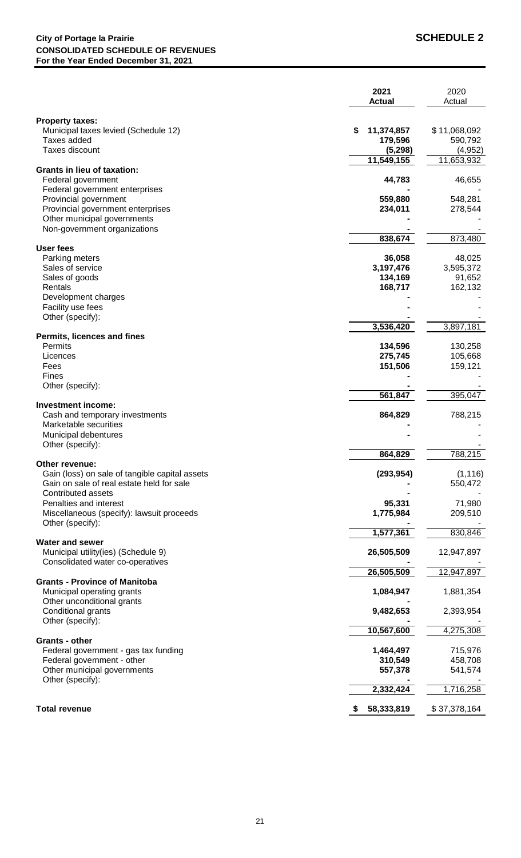### **City of Portage la Prairie SCHEDULE 2 CONSOLIDATED SCHEDULE OF REVENUES For the Year Ended December 31, 2021**

|                                                                                                                                                             | 2021<br><b>Actual</b>                                 | 2020<br>Actual                                   |
|-------------------------------------------------------------------------------------------------------------------------------------------------------------|-------------------------------------------------------|--------------------------------------------------|
| <b>Property taxes:</b><br>Municipal taxes levied (Schedule 12)<br>Taxes added<br>Taxes discount                                                             | \$<br>11,374,857<br>179,596<br>(5, 298)<br>11,549,155 | \$11,068,092<br>590,792<br>(4,952)<br>11,653,932 |
| <b>Grants in lieu of taxation:</b><br>Federal government                                                                                                    | 44,783                                                | 46,655                                           |
| Federal government enterprises<br>Provincial government<br>Provincial government enterprises<br>Other municipal governments<br>Non-government organizations | 559,880<br>234,011                                    | 548,281<br>278,544                               |
| <b>User fees</b>                                                                                                                                            | 838,674                                               | 873,480                                          |
| Parking meters<br>Sales of service<br>Sales of goods<br>Rentals<br>Development charges<br>Facility use fees                                                 | 36,058<br>3,197,476<br>134,169<br>168,717             | 48,025<br>3,595,372<br>91,652<br>162,132         |
| Other (specify):                                                                                                                                            | 3,536,420                                             | 3,897,181                                        |
| Permits, licences and fines<br>Permits<br>Licences<br>Fees<br>Fines<br>Other (specify):                                                                     | 134,596<br>275,745<br>151,506                         | 130,258<br>105,668<br>159,121                    |
| <b>Investment income:</b>                                                                                                                                   | 561,847                                               | 395,047                                          |
| Cash and temporary investments<br>Marketable securities<br>Municipal debentures                                                                             | 864,829                                               | 788,215                                          |
| Other (specify):                                                                                                                                            | 864,829                                               | 788,215                                          |
| <b>Other revenue:</b><br>Gain (loss) on sale of tangible capital assets<br>Gain on sale of real estate held for sale<br>Contributed assets                  | (293, 954)                                            | (1, 116)<br>550,472                              |
| Penalties and interest<br>Miscellaneous (specify): lawsuit proceeds<br>Other (specify):                                                                     | 95,331<br>1,775,984                                   | 71,980<br>209,510                                |
|                                                                                                                                                             | 1,577,361                                             | 830,846                                          |
| <b>Water and sewer</b><br>Municipal utility(ies) (Schedule 9)<br>Consolidated water co-operatives                                                           | 26,505,509                                            | 12,947,897                                       |
| <b>Grants - Province of Manitoba</b>                                                                                                                        | 26,505,509                                            | 12,947,897                                       |
| Municipal operating grants<br>Other unconditional grants                                                                                                    | 1,084,947                                             | 1,881,354                                        |
| Conditional grants                                                                                                                                          | 9,482,653                                             | 2,393,954                                        |
| Other (specify):                                                                                                                                            | 10,567,600                                            | 4,275,308                                        |
| <b>Grants - other</b><br>Federal government - gas tax funding<br>Federal government - other<br>Other municipal governments                                  | 1,464,497<br>310,549<br>557,378                       | 715,976<br>458,708<br>541,574                    |
| Other (specify):                                                                                                                                            | 2,332,424                                             | 1,716,258                                        |
| <b>Total revenue</b>                                                                                                                                        | 58,333,819<br>\$                                      | \$37,378,164                                     |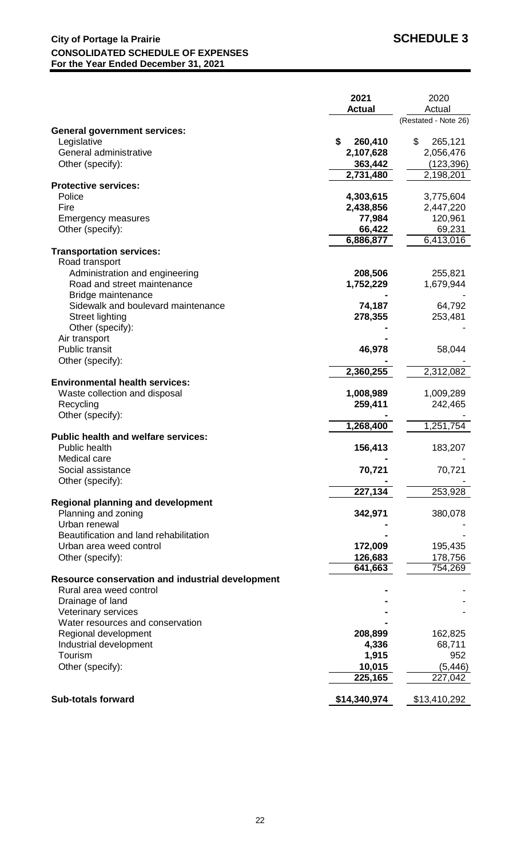### **City of Portage la Prairie SCHEDULE 3 CONSOLIDATED SCHEDULE OF EXPENSES For the Year Ended December 31, 2021**

|                                                                   | 2021                | 2020                           |
|-------------------------------------------------------------------|---------------------|--------------------------------|
|                                                                   | <b>Actual</b>       | Actual<br>(Restated - Note 26) |
| <b>General government services:</b>                               |                     |                                |
| Legislative                                                       | \$<br>260,410       | \$<br>265,121                  |
| General administrative                                            | 2,107,628           | 2,056,476                      |
| Other (specify):                                                  | 363,442             | (123, 396)                     |
|                                                                   | 2,731,480           | 2,198,201                      |
| <b>Protective services:</b>                                       |                     |                                |
| Police                                                            | 4,303,615           | 3,775,604                      |
| Fire                                                              | 2,438,856           | 2,447,220                      |
| <b>Emergency measures</b>                                         | 77,984              | 120,961                        |
| Other (specify):                                                  | 66,422<br>6,886,877 | 69,231<br>6,413,016            |
| <b>Transportation services:</b>                                   |                     |                                |
| Road transport                                                    |                     |                                |
| Administration and engineering                                    | 208,506             | 255,821                        |
| Road and street maintenance                                       | 1,752,229           | 1,679,944                      |
| Bridge maintenance                                                |                     |                                |
| Sidewalk and boulevard maintenance                                | 74,187              | 64,792                         |
| <b>Street lighting</b>                                            | 278,355             | 253,481                        |
| Other (specify):                                                  |                     |                                |
| Air transport                                                     |                     |                                |
| <b>Public transit</b>                                             | 46,978              | 58,044                         |
| Other (specify):                                                  | 2,360,255           | 2,312,082                      |
| <b>Environmental health services:</b>                             |                     |                                |
| Waste collection and disposal                                     | 1,008,989           | 1,009,289                      |
| Recycling                                                         | 259,411             | 242,465                        |
| Other (specify):                                                  |                     |                                |
|                                                                   | 1,268,400           | 1,251,754                      |
| <b>Public health and welfare services:</b>                        |                     |                                |
| Public health<br>Medical care                                     | 156,413             | 183,207                        |
| Social assistance                                                 | 70,721              | 70,721                         |
| Other (specify):                                                  |                     |                                |
|                                                                   | 227,134             | 253,928                        |
| <b>Regional planning and development</b>                          |                     |                                |
| Planning and zoning                                               | 342,971             | 380,078                        |
| Urban renewal                                                     |                     |                                |
| Beautification and land rehabilitation<br>Urban area weed control | 172,009             | 195,435                        |
| Other (specify):                                                  | 126,683             | 178,756                        |
|                                                                   | 641,663             | $\overline{754}$ , 269         |
| <b>Resource conservation and industrial development</b>           |                     |                                |
| Rural area weed control                                           |                     |                                |
| Drainage of land                                                  |                     |                                |
| Veterinary services                                               |                     |                                |
| Water resources and conservation                                  |                     |                                |
| Regional development                                              | 208,899             | 162,825                        |
| Industrial development<br>Tourism                                 | 4,336               | 68,711<br>952                  |
| Other (specify):                                                  | 1,915<br>10,015     | (5, 446)                       |
|                                                                   | 225,165             | $\overline{227,}042$           |
|                                                                   |                     |                                |
| <b>Sub-totals forward</b>                                         | \$14,340,974        | \$13,410,292                   |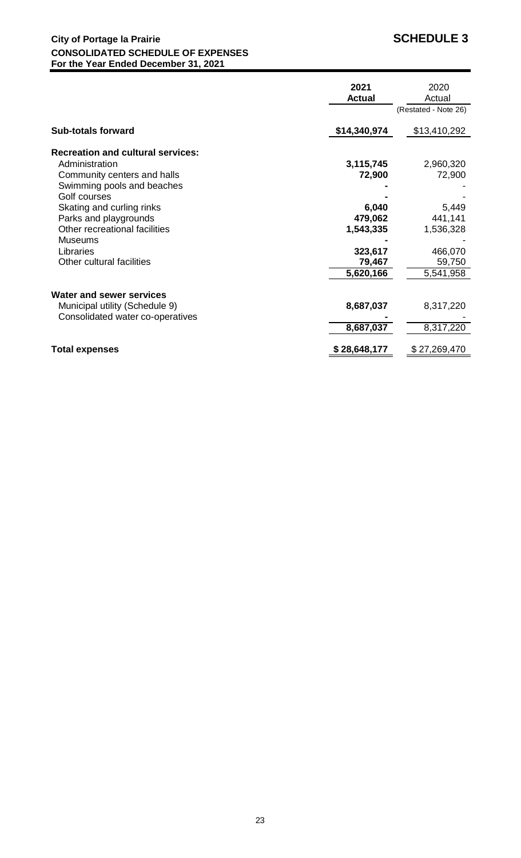### **City of Portage la Prairie SCHEDULE 3 CONSOLIDATED SCHEDULE OF EXPENSES For the Year Ended December 31, 2021**

| <b>Sub-totals forward</b>                                                                                                                                                                                                                                                           | 2021<br><b>Actual</b><br>\$14,340,974                                                  | 2020<br>Actual<br>(Restated - Note 26)<br>\$13,410,292                                 |
|-------------------------------------------------------------------------------------------------------------------------------------------------------------------------------------------------------------------------------------------------------------------------------------|----------------------------------------------------------------------------------------|----------------------------------------------------------------------------------------|
|                                                                                                                                                                                                                                                                                     |                                                                                        |                                                                                        |
| <b>Recreation and cultural services:</b><br>Administration<br>Community centers and halls<br>Swimming pools and beaches<br>Golf courses<br>Skating and curling rinks<br>Parks and playgrounds<br>Other recreational facilities<br>Museums<br>Libraries<br>Other cultural facilities | 3,115,745<br>72,900<br>6,040<br>479,062<br>1,543,335<br>323,617<br>79,467<br>5,620,166 | 2,960,320<br>72,900<br>5,449<br>441,141<br>1,536,328<br>466,070<br>59,750<br>5,541,958 |
| <b>Water and sewer services</b><br>Municipal utility (Schedule 9)<br>Consolidated water co-operatives                                                                                                                                                                               | 8,687,037<br>8,687,037                                                                 | 8,317,220<br>8,317,220                                                                 |
| <b>Total expenses</b>                                                                                                                                                                                                                                                               | \$28,648,177                                                                           | \$27,269,470                                                                           |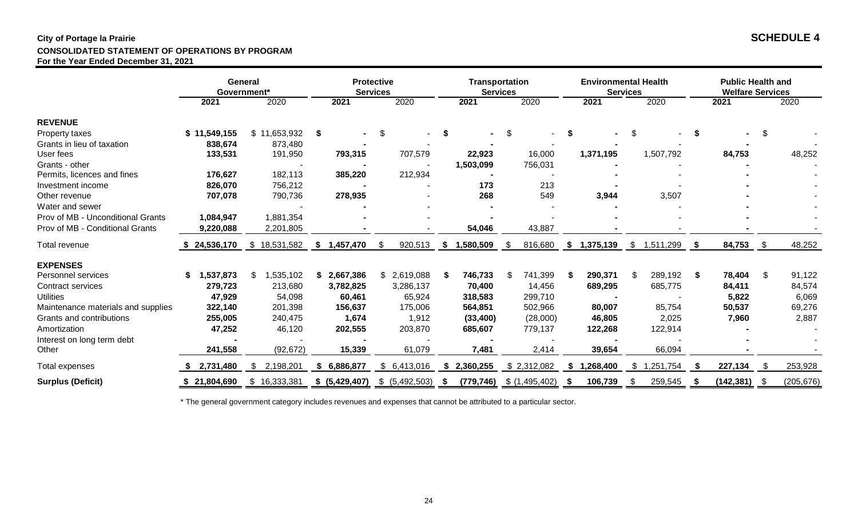### **City of Portage la Prairie SCHEDULE 4 CONSOLIDATED STATEMENT OF OPERATIONS BY PROGRAM For the Year Ended December 31, 2021**

|                                    | General<br>Government* |              | <b>Protective</b><br><b>Services</b> |                |                  | <b>Transportation</b><br><b>Services</b> | <b>Environmental Health</b><br><b>Services</b> | <b>Public Health and</b><br><b>Welfare Services</b> |                 |       |            |
|------------------------------------|------------------------|--------------|--------------------------------------|----------------|------------------|------------------------------------------|------------------------------------------------|-----------------------------------------------------|-----------------|-------|------------|
|                                    | 2021                   | 2020         | 2021                                 | 2020           | 2021             | 2020                                     | 2021                                           | 2020                                                | 2021            |       | 2020       |
| <b>REVENUE</b>                     |                        |              |                                      |                |                  |                                          |                                                |                                                     |                 |       |            |
| Property taxes                     | \$11,549,155           | \$11,653,932 | S<br>$\blacksquare$                  | -\$            | £.               | S.                                       | S                                              | \$                                                  | \$              | \$    |            |
| Grants in lieu of taxation         | 838,674                | 873,480      |                                      |                |                  |                                          |                                                |                                                     |                 |       |            |
| User fees                          | 133,531                | 191,950      | 793,315                              | 707,579        | 22,923           | 16,000                                   | 1,371,195                                      | 1,507,792                                           | 84,753          |       | 48,252     |
| Grants - other                     |                        |              |                                      |                | 1,503,099        | 756,031                                  |                                                |                                                     |                 |       |            |
| Permits, licences and fines        | 176,627                | 182,113      | 385,220                              | 212,934        |                  |                                          |                                                |                                                     |                 |       |            |
| Investment income                  | 826,070                | 756,212      |                                      |                | 173              | 213                                      |                                                |                                                     |                 |       |            |
| Other revenue                      | 707,078                | 790,736      | 278,935                              |                | 268              | 549                                      | 3,944                                          | 3,507                                               |                 |       |            |
| Water and sewer                    |                        |              |                                      |                |                  |                                          |                                                |                                                     |                 |       |            |
| Prov of MB - Unconditional Grants  | 1,084,947              | 1,881,354    |                                      |                |                  |                                          |                                                |                                                     |                 |       |            |
| Prov of MB - Conditional Grants    | 9,220,088              | 2,201,805    |                                      |                | 54,046           | 43,887                                   |                                                |                                                     |                 |       |            |
| Total revenue                      | \$24,536,170           | \$18,531,582 | \$1,457,470                          | 920,513<br>\$. | 1,580,509<br>S.  | 816,680<br>S.                            | 1,375,139<br>S.                                | 1,511,299<br>\$                                     | 84,753<br>- \$  | \$    | 48,252     |
| <b>EXPENSES</b>                    |                        |              |                                      |                |                  |                                          |                                                |                                                     |                 |       |            |
| Personnel services                 | 1,537,873              | ,535,102     | 2,667,386<br>S.                      | \$2,619,088    | 746,733<br>S     | \$<br>741,399                            | 290,371<br>S                                   | 289,192<br>\$.                                      | 78,404<br>S.    | \$    | 91,122     |
| Contract services                  | 279,723                | 213,680      | 3,782,825                            | 3,286,137      | 70,400           | 14,456                                   | 689,295                                        | 685,775                                             | 84,411          |       | 84,574     |
| <b>Utilities</b>                   | 47,929                 | 54,098       | 60,461                               | 65,924         | 318,583          | 299,710                                  |                                                |                                                     |                 | 5,822 | 6,069      |
| Maintenance materials and supplies | 322,140                | 201,398      | 156,637                              | 175,006        | 564,851          | 502,966                                  | 80,007                                         | 85,754                                              | 50,537          |       | 69,276     |
| Grants and contributions           | 255,005                | 240,475      | 1,674                                | 1,912          | (33, 400)        | (28,000)                                 | 46,805                                         | 2,025                                               |                 | 7,960 | 2,887      |
| Amortization                       | 47,252                 | 46,120       | 202,555                              | 203,870        | 685,607          | 779,137                                  | 122,268                                        | 122,914                                             |                 |       |            |
| Interest on long term debt         |                        |              |                                      |                |                  |                                          |                                                |                                                     |                 |       |            |
| Other                              | 241,558                | (92, 672)    | 15,339                               | 61,079         | 7,481            | 2,414                                    | 39,654                                         | 66,094                                              |                 |       |            |
| Total expenses                     | 2,731,480              | 2,198,201    | 6,886,877                            | \$6,413,016    | \$2,360,255      | \$2,312,082                              | ,268,400<br>S.                                 | ,251,754<br>S.                                      | 227,134<br>- 55 | - \$  | 253,928    |
| <b>Surplus (Deficit)</b>           | 21,804,690             | \$16,333,381 | \$ (5,429,407)                       | \$ (5,492,503) | (779, 746)<br>-5 | \$(1,495,402)                            | 106,739                                        | 259,545                                             | (142, 381)      | - \$  | (205, 676) |

\* The general government category includes revenues and expenses that cannot be attributed to a particular sector.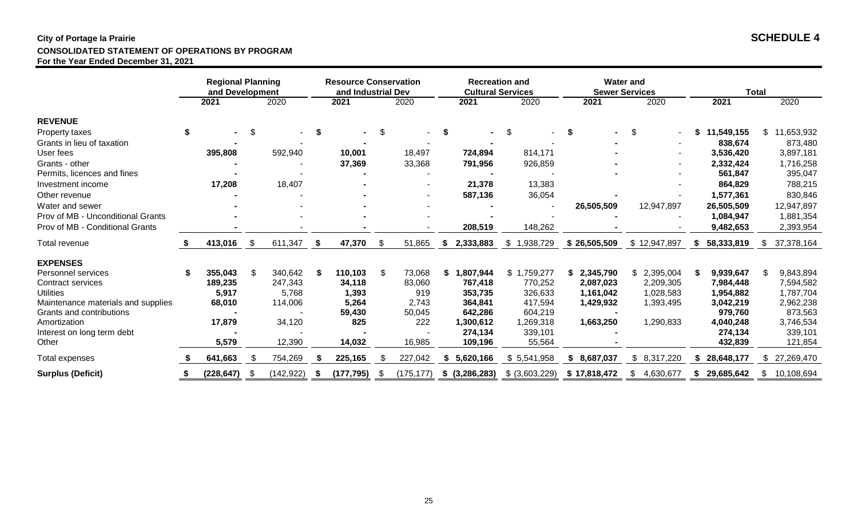### **City of Portage la Prairie SCHEDULE 4 CONSOLIDATED STATEMENT OF OPERATIONS BY PROGRAM For the Year Ended December 31, 2021**

|                                    | <b>Regional Planning</b><br>and Development |            |     | <b>Resource Conservation</b><br>and Industrial Dev |     |                |     |            | <b>Recreation and</b><br><b>Cultural Services</b> |                | <b>Water and</b> | <b>Sewer Services</b> | <b>Total</b> |                  |    |               |
|------------------------------------|---------------------------------------------|------------|-----|----------------------------------------------------|-----|----------------|-----|------------|---------------------------------------------------|----------------|------------------|-----------------------|--------------|------------------|----|---------------|
|                                    |                                             | 2021       |     | 2020                                               |     | 2021           |     | 2020       |                                                   | 2021           | 2020             | 2021                  | 2020         | 2021             |    | 2020          |
| <b>REVENUE</b>                     |                                             |            |     |                                                    |     |                |     |            |                                                   |                |                  |                       |              |                  |    |               |
| Property taxes                     | \$                                          |            | \$  |                                                    | \$  | $\blacksquare$ | \$  |            | \$                                                |                | \$               | \$<br>$\blacksquare$  | \$<br>۰      | 11,549,155       | \$ | 11,653,932    |
| Grants in lieu of taxation         |                                             |            |     |                                                    |     |                |     |            |                                                   |                |                  |                       |              | 838,674          |    | 873,480       |
| User fees                          |                                             | 395,808    |     | 592,940                                            |     | 10,001         |     | 18,497     |                                                   | 724,894        | 814,171          |                       |              | 3,536,420        |    | 3,897,181     |
| Grants - other                     |                                             |            |     |                                                    |     | 37,369         |     | 33,368     |                                                   | 791,956        | 926,859          |                       |              | 2,332,424        |    | 1,716,258     |
| Permits, licences and fines        |                                             |            |     |                                                    |     |                |     |            |                                                   |                |                  |                       |              | 561,847          |    | 395,047       |
| Investment income                  |                                             | 17,208     |     | 18,407                                             |     |                |     |            |                                                   | 21,378         | 13,383           |                       |              | 864,829          |    | 788,215       |
| Other revenue                      |                                             |            |     |                                                    |     |                |     |            |                                                   | 587,136        | 36,054           |                       |              | 1,577,361        |    | 830,846       |
| Water and sewer                    |                                             |            |     |                                                    |     |                |     |            |                                                   |                |                  | 26,505,509            | 12,947,897   | 26,505,509       |    | 12,947,897    |
| Prov of MB - Unconditional Grants  |                                             |            |     |                                                    |     |                |     |            |                                                   |                |                  |                       |              | 1,084,947        |    | 1,881,354     |
| Prov of MB - Conditional Grants    |                                             |            |     |                                                    |     |                |     |            |                                                   | 208,519        | 148,262          |                       |              | 9,482,653        |    | 2,393,954     |
| Total revenue                      |                                             | 413,016    | . Պ | 611,347                                            |     | 47,370         | -SS | 51,865     |                                                   | 2,333,883      | 1,938,729<br>\$  | \$26,505,509          | \$12,947,897 | 58,333,819<br>£. | S. | 37,378,164    |
| <b>EXPENSES</b>                    |                                             |            |     |                                                    |     |                |     |            |                                                   |                |                  |                       |              |                  |    |               |
| Personnel services                 | \$                                          | 355,043    | \$  | 340,642                                            | S.  | 110,103        | \$  | 73,068     |                                                   | ,807,944<br>\$ | \$1,759,277      | \$2,345,790           | 2,395,004    | 9,939,647        | \$ | 9,843,894     |
| Contract services                  |                                             | 189,235    |     | 247,343                                            |     | 34,118         |     | 83,060     |                                                   | 767,418        | 770,252          | 2,087,023             | 2,209,305    | 7,984,448        |    | 7,594,582     |
| <b>Utilities</b>                   |                                             | 5,917      |     | 5,768                                              |     | 1,393          |     | 919        |                                                   | 353,735        | 326,633          | 1,161,042             | 1,028,583    | 1,954,882        |    | 1,787,704     |
| Maintenance materials and supplies |                                             | 68,010     |     | 114,006                                            |     | 5,264          |     | 2,743      |                                                   | 364,841        | 417,594          | 1,429,932             | 1,393,495    | 3,042,219        |    | 2,962,238     |
| Grants and contributions           |                                             |            |     |                                                    |     | 59,430         |     | 50,045     |                                                   | 642,286        | 604,219          |                       |              | 979,760          |    | 873,563       |
| Amortization                       |                                             | 17,879     |     | 34,120                                             |     | 825            |     | 222        |                                                   | 1,300,612      | 1,269,318        | 1,663,250             | 1,290,833    | 4,040,248        |    | 3,746,534     |
| Interest on long term debt         |                                             |            |     |                                                    |     |                |     |            |                                                   | 274,134        | 339,101          |                       |              | 274,134          |    | 339,101       |
| Other                              |                                             | 5,579      |     | 12,390                                             |     | 14,032         |     | 16,985     |                                                   | 109,196        | 55,564           |                       |              | 432,839          |    | 121,854       |
| Total expenses                     |                                             | 641,663    |     | 754,269                                            | -55 | 225,165        | -85 | 227,042    | S                                                 | 5,620,166      | \$5,541,958      | \$8,687,037           | \$8,317,220  | 28,648,177<br>æ. |    | \$ 27,269,470 |
| <b>Surplus (Deficit)</b>           |                                             | (228, 647) |     | (142, 922)                                         |     | (177,795)      |     | (175, 177) |                                                   | \$ (3,286,283) | $$$ (3,603,229)  | \$17,818,472          | \$4,630,677  | 29,685,642<br>S. | S. | 10,108,694    |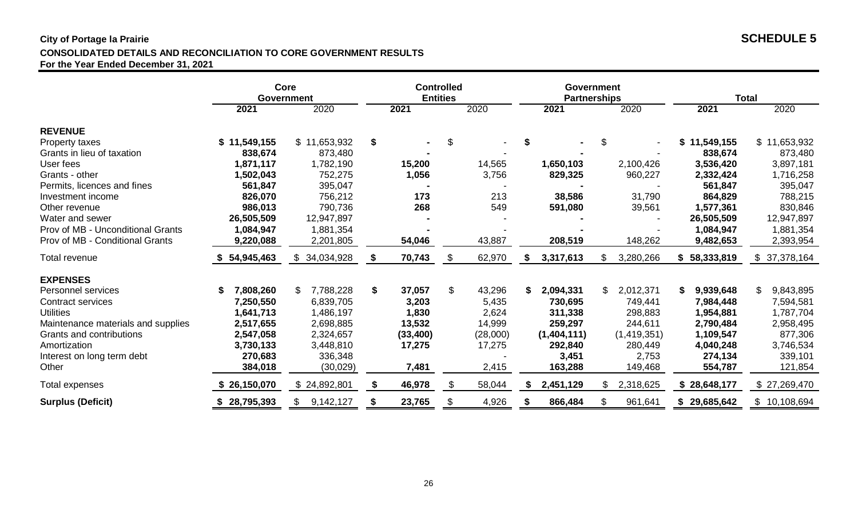### **City of Portage la Prairie SCHEDULE 5 CONSOLIDATED DETAILS AND RECONCILIATION TO CORE GOVERNMENT RESULTS For the Year Ended December 31, 2021**

|                                    | Core<br><b>Government</b> |                 |     | <b>Controlled</b><br><b>Entities</b> |                |          | <b>Government</b><br><b>Partnerships</b> |             | <b>Total</b>    |                  |                  |  |
|------------------------------------|---------------------------|-----------------|-----|--------------------------------------|----------------|----------|------------------------------------------|-------------|-----------------|------------------|------------------|--|
|                                    | 2021                      | 2020            |     | 2021                                 |                | 2020     |                                          | 2021        | 2020            | 2021             | 2020             |  |
| <b>REVENUE</b>                     |                           |                 |     |                                      |                |          |                                          |             |                 |                  |                  |  |
| Property taxes                     | \$11,549,155              | \$11,653,932    | \$  |                                      | \$             |          | \$                                       |             | \$              | 11,549,155<br>\$ | \$11,653,932     |  |
| Grants in lieu of taxation         | 838,674                   | 873,480         |     |                                      |                |          |                                          |             |                 | 838,674          | 873,480          |  |
| User fees                          | 1,871,117                 | 1,782,190       |     | 15,200                               |                | 14,565   |                                          | 1,650,103   | 2,100,426       | 3,536,420        | 3,897,181        |  |
| Grants - other                     | 1,502,043                 | 752,275         |     | 1,056                                |                | 3,756    |                                          | 829,325     | 960,227         | 2,332,424        | 1,716,258        |  |
| Permits, licences and fines        | 561,847                   | 395,047         |     |                                      |                |          |                                          |             |                 | 561,847          | 395,047          |  |
| Investment income                  | 826,070                   | 756,212         |     | 173                                  |                | 213      |                                          | 38,586      | 31,790          | 864,829          | 788,215          |  |
| Other revenue                      | 986,013                   | 790,736         |     | 268                                  |                | 549      |                                          | 591,080     | 39,561          | 1,577,361        | 830,846          |  |
| Water and sewer                    | 26,505,509                | 12,947,897      |     |                                      |                |          |                                          |             |                 | 26,505,509       | 12,947,897       |  |
| Prov of MB - Unconditional Grants  | 1,084,947                 | 1,881,354       |     |                                      |                |          |                                          |             |                 | 1,084,947        | 1,881,354        |  |
| Prov of MB - Conditional Grants    | 9,220,088                 | 2,201,805       |     | 54,046                               |                | 43,887   |                                          | 208,519     | 148,262         | 9,482,653        | 2,393,954        |  |
| Total revenue                      | 54,945,463                | \$34,034,928    | -SG | 70,743                               | $\mathfrak{L}$ | 62,970   | S.                                       | 3,317,613   | 3,280,266       | \$58,333,819     | \$37,378,164     |  |
| <b>EXPENSES</b>                    |                           |                 |     |                                      |                |          |                                          |             |                 |                  |                  |  |
| <b>Personnel services</b>          | 7,808,260<br>S            | 7,788,228       | \$  | 37,057                               | $\mathfrak{L}$ | 43,296   | S                                        | 2,094,331   | \$<br>2,012,371 | 9,939,648<br>S.  | 9,843,895<br>\$. |  |
| <b>Contract services</b>           | 7,250,550                 | 6,839,705       |     | 3,203                                |                | 5,435    |                                          | 730,695     | 749,441         | 7,984,448        | 7,594,581        |  |
| <b>Utilities</b>                   | 1,641,713                 | 1,486,197       |     | 1,830                                |                | 2,624    |                                          | 311,338     | 298,883         | 1,954,881        | 1,787,704        |  |
| Maintenance materials and supplies | 2,517,655                 | 2,698,885       |     | 13,532                               |                | 14,999   |                                          | 259,297     | 244,611         | 2,790,484        | 2,958,495        |  |
| Grants and contributions           | 2,547,058                 | 2,324,657       |     | (33, 400)                            |                | (28,000) |                                          | (1,404,111) | (1,419,351)     | 1,109,547        | 877,306          |  |
| Amortization                       | 3,730,133                 | 3,448,810       |     | 17,275                               |                | 17,275   |                                          | 292,840     | 280,449         | 4,040,248        | 3,746,534        |  |
| Interest on long term debt         | 270,683                   | 336,348         |     |                                      |                |          |                                          | 3,451       | 2,753           | 274,134          | 339,101          |  |
| Other                              | 384,018                   | (30,029)        |     | 7,481                                |                | 2,415    |                                          | 163,288     | 149,468         | 554,787          | 121,854          |  |
| Total expenses                     | \$26,150,070              | \$24,892,801    |     | 46,978                               | \$             | 58,044   |                                          | 2,451,129   | \$<br>2,318,625 | \$28,648,177     | \$27,269,470     |  |
| <b>Surplus (Deficit)</b>           | 28,795,393                | 9,142,127<br>\$ |     | 23,765                               |                | 4,926    |                                          | 866,484     | 961,641         | \$29,685,642     | \$10,108,694     |  |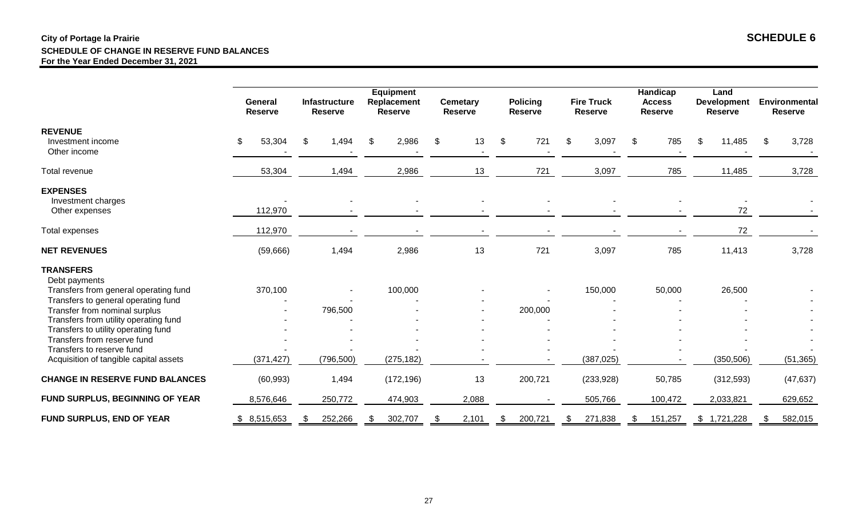### **City of Portage la Prairie SCHEDULE 6 SCHEDULE OF CHANGE IN RESERVE FUND BALANCES For the Year Ended December 31, 2021**

|                                                                                                                   |                           |            |                                 | Equipment  |                               |            |                                   |       |                                   |         |                                     |            | <b>Handicap</b>                 |         | Land                                 |             |                                 |           |
|-------------------------------------------------------------------------------------------------------------------|---------------------------|------------|---------------------------------|------------|-------------------------------|------------|-----------------------------------|-------|-----------------------------------|---------|-------------------------------------|------------|---------------------------------|---------|--------------------------------------|-------------|---------------------------------|-----------|
|                                                                                                                   | General<br><b>Reserve</b> |            | <b>Infastructure</b><br>Reserve |            | Replacement<br><b>Reserve</b> |            | <b>Cemetary</b><br><b>Reserve</b> |       | <b>Policing</b><br><b>Reserve</b> |         | <b>Fire Truck</b><br><b>Reserve</b> |            | <b>Access</b><br><b>Reserve</b> |         | <b>Development</b><br><b>Reserve</b> |             | Environmental<br><b>Reserve</b> |           |
| <b>REVENUE</b><br>Investment income<br>Other income                                                               | \$                        | 53,304     | $\boldsymbol{\mathsf{S}}$       | 1,494      | \$                            | 2,986      | \$                                | 13    | $\boldsymbol{\mathsf{S}}$         | 721     | $\boldsymbol{\mathsf{S}}$           | 3,097      | $\mathfrak{F}$                  | 785     | \$                                   | 11,485      | - S                             | 3,728     |
| Total revenue                                                                                                     |                           | 53,304     |                                 | 1,494      |                               | 2,986      |                                   | 13    |                                   | 721     |                                     | 3,097      |                                 | 785     |                                      | 11,485      |                                 | 3,728     |
| <b>EXPENSES</b><br>Investment charges<br>Other expenses                                                           |                           | 112,970    |                                 |            |                               |            |                                   |       |                                   |         |                                     |            |                                 |         |                                      | 72          |                                 |           |
| Total expenses                                                                                                    |                           | 112,970    |                                 |            |                               |            |                                   |       |                                   |         |                                     |            |                                 |         |                                      | 72          |                                 |           |
| <b>NET REVENUES</b>                                                                                               |                           | (59,666)   |                                 | 1,494      |                               | 2,986      |                                   | 13    |                                   | 721     |                                     | 3,097      |                                 | 785     |                                      | 11,413      |                                 | 3,728     |
| <b>TRANSFERS</b><br>Debt payments<br>Transfers from general operating fund<br>Transfers to general operating fund |                           | 370,100    |                                 |            |                               | 100,000    |                                   |       |                                   |         |                                     | 150,000    |                                 | 50,000  |                                      | 26,500      |                                 |           |
| Transfer from nominal surplus<br>Transfers from utility operating fund<br>Transfers to utility operating fund     |                           |            |                                 | 796,500    |                               |            |                                   |       |                                   | 200,000 |                                     |            |                                 |         |                                      |             |                                 |           |
| Transfers from reserve fund<br>Transfers to reserve fund<br>Acquisition of tangible capital assets                |                           | (371, 427) |                                 | (796, 500) |                               | (275, 182) |                                   |       |                                   |         |                                     | (387, 025) |                                 |         |                                      | (350, 506)  |                                 | (51, 365) |
| <b>CHANGE IN RESERVE FUND BALANCES</b>                                                                            |                           | (60, 993)  |                                 | 1,494      |                               | (172, 196) |                                   | 13    |                                   | 200,721 |                                     | (233, 928) |                                 | 50,785  |                                      | (312, 593)  |                                 | (47, 637) |
| <b>FUND SURPLUS, BEGINNING OF YEAR</b>                                                                            |                           | 8,576,646  |                                 | 250,772    |                               | 474,903    |                                   | 2,088 |                                   |         |                                     | 505,766    |                                 | 100,472 |                                      | 2,033,821   |                                 | 629,652   |
| <b>FUND SURPLUS, END OF YEAR</b>                                                                                  | \$8,515,653               |            | \$.                             | 252,266    | S.                            | 302,707    | - \$                              | 2,101 | S.                                | 200,721 | \$                                  | 271,838    | \$                              | 151,257 |                                      | \$1,721,228 |                                 | 582,015   |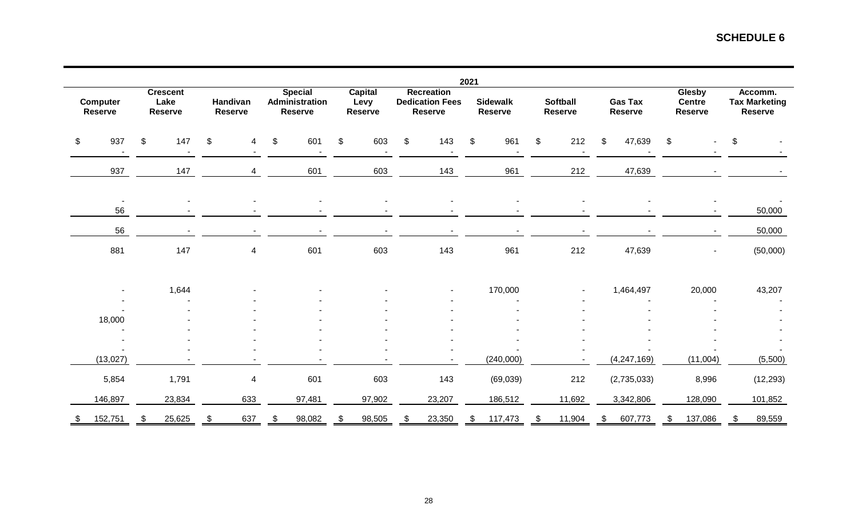|                     |           |               |                                           |                         |                |                            |        |               |                            |            |                                                    | 2021          |                                   |               |                                                               |               |                                   |                            |                |                                  |  |  |                                           |                                            |
|---------------------|-----------|---------------|-------------------------------------------|-------------------------|----------------|----------------------------|--------|---------------|----------------------------|------------|----------------------------------------------------|---------------|-----------------------------------|---------------|---------------------------------------------------------------|---------------|-----------------------------------|----------------------------|----------------|----------------------------------|--|--|-------------------------------------------|--------------------------------------------|
| Computer<br>Reserve |           |               | <b>Crescent</b><br>Lake<br><b>Reserve</b> |                         |                |                            |        |               | Handivan<br><b>Reserve</b> |            | <b>Special</b><br>Administration<br><b>Reserve</b> |               | Capital<br>Levy<br><b>Reserve</b> |               | <b>Recreation</b><br><b>Dedication Fees</b><br><b>Reserve</b> |               | <b>Sidewalk</b><br><b>Reserve</b> | <b>Softball</b><br>Reserve |                | <b>Gas Tax</b><br><b>Reserve</b> |  |  | Glesby<br><b>Centre</b><br><b>Reserve</b> | Accomm.<br><b>Tax Marketing</b><br>Reserve |
| \$                  | 937       | $\sqrt[6]{2}$ | 147                                       | $\sqrt[6]{\frac{1}{2}}$ | $\overline{4}$ | $\boldsymbol{\mathsf{\$}}$ | 601    | $\mathcal{S}$ | 603                        | $\sqrt{3}$ | 143                                                | $\mathcal{S}$ | 961                               | $\frac{1}{2}$ | 212                                                           | $\sqrt[6]{3}$ | 47,639                            | $\sqrt[6]{3}$              | $\blacksquare$ | \$                               |  |  |                                           |                                            |
|                     | 937       |               | 147                                       |                         | 4              |                            | 601    |               | 603                        |            | 143                                                |               | 961                               |               | 212                                                           |               | 47,639                            |                            |                |                                  |  |  |                                           |                                            |
|                     | 56        |               |                                           |                         |                |                            |        |               |                            |            |                                                    |               |                                   |               |                                                               |               |                                   |                            |                | 50,000                           |  |  |                                           |                                            |
|                     | 56        |               |                                           |                         |                |                            |        |               |                            |            |                                                    |               |                                   |               |                                                               |               |                                   |                            |                | 50,000                           |  |  |                                           |                                            |
|                     | 881       |               | 147                                       |                         | $\overline{4}$ |                            | 601    |               | 603                        |            | 143                                                |               | 961                               |               | 212                                                           |               | 47,639                            |                            |                | (50,000)                         |  |  |                                           |                                            |
|                     |           |               | 1,644                                     |                         |                |                            |        |               |                            |            |                                                    |               | 170,000                           |               |                                                               |               | 1,464,497                         |                            | 20,000         | 43,207                           |  |  |                                           |                                            |
|                     | 18,000    |               |                                           |                         |                |                            |        |               |                            |            |                                                    |               |                                   |               |                                                               |               |                                   |                            |                |                                  |  |  |                                           |                                            |
|                     |           |               |                                           |                         |                |                            |        |               |                            |            |                                                    |               |                                   |               |                                                               |               |                                   |                            |                |                                  |  |  |                                           |                                            |
|                     | (13, 027) |               |                                           |                         |                |                            |        |               |                            |            |                                                    |               | (240,000)                         |               |                                                               |               | (4, 247, 169)                     |                            | (11,004)       | (5,500)                          |  |  |                                           |                                            |
|                     | 5,854     |               | 1,791                                     |                         | 4              |                            | 601    |               | 603                        |            | 143                                                |               | (69, 039)                         |               | 212                                                           |               | (2,735,033)                       |                            | 8,996          | (12, 293)                        |  |  |                                           |                                            |
| 146,897             |           |               | 23,834                                    |                         | 633            |                            | 97,481 |               | 97,902                     |            | 23,207                                             |               | 186,512                           |               | 11,692                                                        |               | 3,342,806                         |                            | 128,090        | 101,852                          |  |  |                                           |                                            |
| $\frac{1}{2}$       | 152,751   |               | 25,625                                    | \$                      | 637            | \$                         | 98,082 | \$            | 98,505                     |            | 23,350                                             |               | 117,473                           |               | 11,904                                                        |               | 607,773                           | P.                         | 137,086        | \$<br>89,559                     |  |  |                                           |                                            |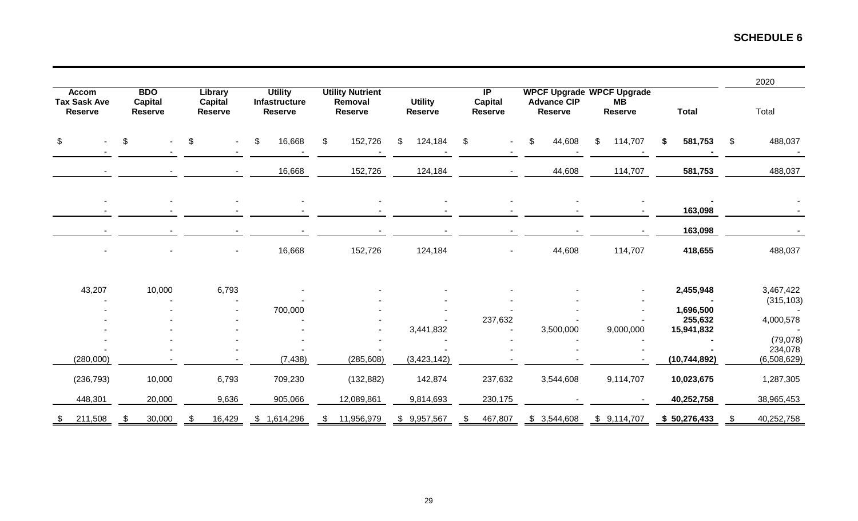## **SCHEDULE 6**

| Accom<br><b>Tax Sask Ave</b> | <b>BDO</b><br>Library<br><b>Capital</b><br><b>Capital</b> |                |                                     | <b>Utility Nutrient</b><br>Removal | <b>Utility</b> | $\overline{IP}$<br><b>Capital</b> | <b>Advance CIP</b> | <b>WPCF Upgrade WPCF Upgrade</b><br><b>MB</b> |                | 2020               |
|------------------------------|-----------------------------------------------------------|----------------|-------------------------------------|------------------------------------|----------------|-----------------------------------|--------------------|-----------------------------------------------|----------------|--------------------|
| <b>Reserve</b>               | <b>Reserve</b>                                            | <b>Reserve</b> | <b>Reserve</b>                      | <b>Reserve</b>                     | <b>Reserve</b> | <b>Reserve</b>                    | <b>Reserve</b>     | <b>Reserve</b>                                | <b>Total</b>   | Total              |
| \$<br>$\blacksquare$         | \$                                                        | \$<br>$\sim$   | $\boldsymbol{\mathsf{S}}$<br>16,668 | 152,726<br>\$                      | 124,184<br>\$  | \$                                | 44,608<br>\$       | 114,707<br>\$                                 | 581,753<br>S.  | 488,037<br>\$      |
|                              |                                                           |                | 16,668                              | 152,726                            | 124,184        |                                   | 44,608             | 114,707                                       | 581,753        | 488,037            |
|                              |                                                           |                |                                     |                                    |                |                                   |                    |                                               | 163,098        |                    |
|                              |                                                           |                |                                     |                                    |                |                                   |                    |                                               | 163,098        |                    |
|                              |                                                           |                | 16,668                              | 152,726                            | 124,184        |                                   | 44,608             | 114,707                                       | 418,655        | 488,037            |
| 43,207                       | 10,000                                                    | 6,793          |                                     |                                    |                |                                   |                    |                                               | 2,455,948      | 3,467,422          |
|                              |                                                           |                | 700,000                             |                                    |                |                                   |                    |                                               | 1,696,500      | (315, 103)         |
|                              |                                                           |                |                                     |                                    |                | 237,632                           |                    |                                               | 255,632        | 4,000,578          |
|                              |                                                           |                |                                     |                                    | 3,441,832      |                                   | 3,500,000          | 9,000,000                                     | 15,941,832     | (79, 078)          |
|                              |                                                           |                |                                     |                                    |                |                                   |                    |                                               |                | 234,078            |
| (280,000)                    |                                                           |                | (7, 438)                            | (285, 608)                         | (3, 423, 142)  |                                   |                    |                                               | (10, 744, 892) | (6,508,629)        |
| (236, 793)                   | 10,000                                                    | 6,793          | 709,230                             | (132, 882)                         | 142,874        | 237,632                           | 3,544,608          | 9,114,707                                     | 10,023,675     | 1,287,305          |
| 448,301                      | 20,000                                                    | 9,636          | 905,066                             | 12,089,861                         | 9,814,693      | 230,175                           |                    |                                               | 40,252,758     | 38,965,453         |
| 211,508                      | 30,000<br>\$                                              | 16,429<br>\$   | \$1,614,296                         | 11,956,979<br>\$                   | \$9,957,567    | 467,807<br>\$                     | \$3,544,608        | \$ 9,114,707                                  | \$50,276,433   | 40,252,758<br>- \$ |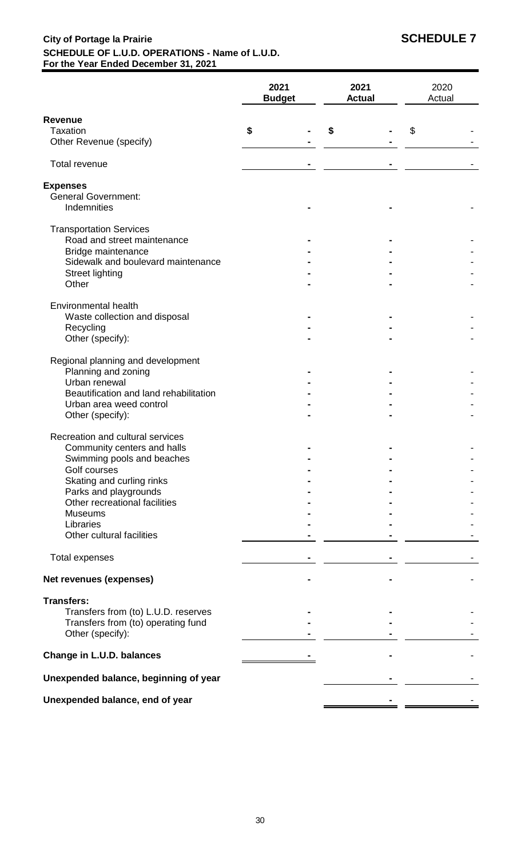### **City of Portage la Prairie SCHEDULE 7 SCHEDULE OF L.U.D. OPERATIONS - Name of L.U.D. For the Year Ended December 31, 2021**

|                                                                                                                                                                                                                                                                  | 2021<br><b>Budget</b> | 2021<br><b>Actual</b> | 2020<br>Actual |  |  |
|------------------------------------------------------------------------------------------------------------------------------------------------------------------------------------------------------------------------------------------------------------------|-----------------------|-----------------------|----------------|--|--|
| <b>Revenue</b><br><b>Taxation</b><br>Other Revenue (specify)                                                                                                                                                                                                     | \$                    | \$                    | \$             |  |  |
| <b>Total revenue</b>                                                                                                                                                                                                                                             |                       |                       |                |  |  |
| <b>Expenses</b><br><b>General Government:</b><br>Indemnities                                                                                                                                                                                                     |                       |                       |                |  |  |
| <b>Transportation Services</b><br>Road and street maintenance<br>Bridge maintenance<br>Sidewalk and boulevard maintenance<br><b>Street lighting</b><br>Other                                                                                                     |                       |                       |                |  |  |
| Environmental health<br>Waste collection and disposal<br>Recycling<br>Other (specify):                                                                                                                                                                           |                       |                       |                |  |  |
| Regional planning and development<br>Planning and zoning<br>Urban renewal<br>Beautification and land rehabilitation<br>Urban area weed control<br>Other (specify):                                                                                               |                       |                       |                |  |  |
| Recreation and cultural services<br>Community centers and halls<br>Swimming pools and beaches<br>Golf courses<br>Skating and curling rinks<br>Parks and playgrounds<br>Other recreational facilities<br><b>Museums</b><br>Libraries<br>Other cultural facilities |                       |                       |                |  |  |
| <b>Total expenses</b>                                                                                                                                                                                                                                            |                       |                       |                |  |  |
| <b>Net revenues (expenses)</b>                                                                                                                                                                                                                                   |                       |                       |                |  |  |
| <b>Transfers:</b><br>Transfers from (to) L.U.D. reserves<br>Transfers from (to) operating fund<br>Other (specify):                                                                                                                                               |                       |                       |                |  |  |
| Change in L.U.D. balances                                                                                                                                                                                                                                        |                       |                       |                |  |  |
| Unexpended balance, beginning of year                                                                                                                                                                                                                            |                       |                       |                |  |  |
| Unexpended balance, end of year                                                                                                                                                                                                                                  |                       |                       |                |  |  |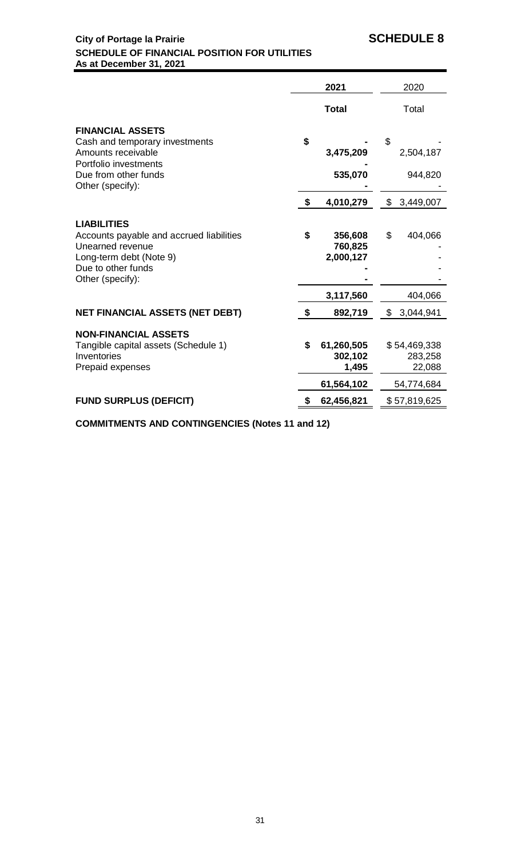### **City of Portage la Prairie SCHEDULE 8 SCHEDULE OF FINANCIAL POSITION FOR UTILITIES As at December 31, 2021**

|                                                      | 2021 |              |                | 2020         |
|------------------------------------------------------|------|--------------|----------------|--------------|
|                                                      |      | <b>Total</b> |                | Total        |
| <b>FINANCIAL ASSETS</b>                              |      |              |                |              |
| Cash and temporary investments<br>Amounts receivable | \$   |              | $\mathfrak{L}$ |              |
| Portfolio investments                                |      | 3,475,209    |                | 2,504,187    |
| Due from other funds<br>Other (specify):             |      | 535,070      |                | 944,820      |
|                                                      | \$   | 4,010,279    |                | \$3,449,007  |
| <b>LIABILITIES</b>                                   |      |              |                |              |
| Accounts payable and accrued liabilities             | \$   | 356,608      | \$             | 404,066      |
| Unearned revenue                                     |      | 760,825      |                |              |
| Long-term debt (Note 9)<br>Due to other funds        |      | 2,000,127    |                |              |
| Other (specify):                                     |      |              |                |              |
|                                                      |      | 3,117,560    |                | 404,066      |
| <b>NET FINANCIAL ASSETS (NET DEBT)</b>               | \$   | 892,719      | \$             | 3,044,941    |
| <b>NON-FINANCIAL ASSETS</b>                          |      |              |                |              |
| Tangible capital assets (Schedule 1)                 | \$   | 61,260,505   |                | \$54,469,338 |
| Inventories                                          |      | 302,102      |                | 283,258      |
| Prepaid expenses                                     |      | 1,495        |                | 22,088       |
|                                                      |      | 61,564,102   |                | 54,774,684   |
| <b>FUND SURPLUS (DEFICIT)</b>                        |      | 62,456,821   |                | \$57,819,625 |

**COMMITMENTS AND CONTINGENCIES (Notes 11 and 12)**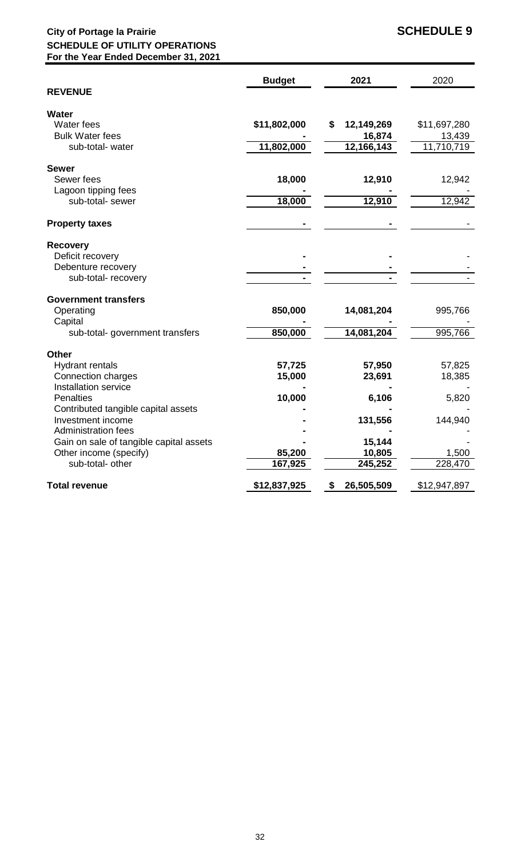### **City of Portage la Prairie SCHEDULE 9 SCHEDULE OF UTILITY OPERATIONS For the Year Ended December 31, 2021**

|                                            | <b>Budget</b> | 2021                 | 2020                 |
|--------------------------------------------|---------------|----------------------|----------------------|
| <b>REVENUE</b>                             |               |                      |                      |
| <b>Water</b>                               |               |                      |                      |
| Water fees                                 | \$11,802,000  | 12,149,269<br>S      | \$11,697,280         |
| <b>Bulk Water fees</b><br>sub-total- water | 11,802,000    | 16,874<br>12,166,143 | 13,439<br>11,710,719 |
|                                            |               |                      |                      |
| <b>Sewer</b>                               |               |                      |                      |
| Sewer fees                                 | 18,000        | 12,910               | 12,942               |
| Lagoon tipping fees<br>sub-total- sewer    | 18,000        | 12,910               | 12,942               |
|                                            |               |                      |                      |
| <b>Property taxes</b>                      |               |                      |                      |
| <b>Recovery</b>                            |               |                      |                      |
| Deficit recovery                           |               |                      |                      |
| Debenture recovery                         |               |                      |                      |
| sub-total-recovery                         |               |                      |                      |
| <b>Government transfers</b>                |               |                      |                      |
| Operating                                  | 850,000       | 14,081,204           | 995,766              |
| Capital                                    |               |                      |                      |
| sub-total- government transfers            | 850,000       | 14,081,204           | 995,766              |
| <b>Other</b>                               |               |                      |                      |
| <b>Hydrant rentals</b>                     | 57,725        | 57,950               | 57,825               |
| <b>Connection charges</b>                  | 15,000        | 23,691               | 18,385               |
| Installation service                       |               |                      |                      |
| <b>Penalties</b>                           | 10,000        | 6,106                | 5,820                |
| Contributed tangible capital assets        |               |                      |                      |
| Investment income                          |               | 131,556              | 144,940              |
| <b>Administration fees</b>                 |               |                      |                      |
| Gain on sale of tangible capital assets    |               | 15,144               |                      |
| Other income (specify)                     | 85,200        | 10,805               | 1,500                |
| sub-total- other                           | 167,925       | 245,252              | 228,470              |
| <b>Total revenue</b>                       | \$12,837,925  | \$<br>26,505,509     | \$12,947,897         |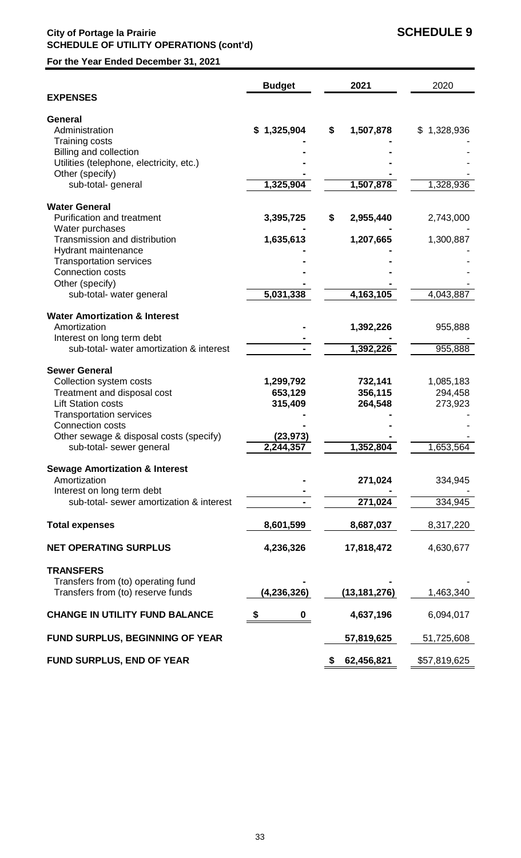## **City of Portage la Prairie SCHEDULE 9 SCHEDULE OF UTILITY OPERATIONS (cont'd)**

### **For the Year Ended December 31, 2021**

|                                                                                                                                                                                             | <b>Budget</b>                               | 2021                          | 2020                            |  |  |
|---------------------------------------------------------------------------------------------------------------------------------------------------------------------------------------------|---------------------------------------------|-------------------------------|---------------------------------|--|--|
| <b>EXPENSES</b>                                                                                                                                                                             |                                             |                               |                                 |  |  |
| General<br>Administration<br>Training costs<br>Billing and collection<br>Utilities (telephone, electricity, etc.)<br>Other (specify)<br>sub-total- general                                  | \$1,325,904<br>1,325,904                    | \$<br>1,507,878<br>1,507,878  | 1,328,936<br>\$<br>1,328,936    |  |  |
|                                                                                                                                                                                             |                                             |                               |                                 |  |  |
| <b>Water General</b><br><b>Purification and treatment</b><br>Water purchases                                                                                                                | 3,395,725                                   | \$<br>2,955,440               | 2,743,000                       |  |  |
| Transmission and distribution<br>Hydrant maintenance<br><b>Transportation services</b>                                                                                                      | 1,635,613                                   | 1,207,665                     | 1,300,887                       |  |  |
| Connection costs<br>Other (specify)<br>sub-total- water general                                                                                                                             | 5,031,338                                   | 4,163,105                     | 4,043,887                       |  |  |
| <b>Water Amortization &amp; Interest</b>                                                                                                                                                    |                                             |                               |                                 |  |  |
| Amortization                                                                                                                                                                                |                                             | 1,392,226                     | 955,888                         |  |  |
| Interest on long term debt<br>sub-total- water amortization & interest                                                                                                                      |                                             | 1,392,226                     | 955,888                         |  |  |
| <b>Sewer General</b>                                                                                                                                                                        |                                             |                               |                                 |  |  |
| Collection system costs<br>Treatment and disposal cost<br><b>Lift Station costs</b><br><b>Transportation services</b><br><b>Connection costs</b><br>Other sewage & disposal costs (specify) | 1,299,792<br>653,129<br>315,409<br>(23,973) | 732,141<br>356,115<br>264,548 | 1,085,183<br>294,458<br>273,923 |  |  |
| sub-total- sewer general                                                                                                                                                                    | 2,244,357                                   | 1,352,804                     | 1,653,564                       |  |  |
| <b>Sewage Amortization &amp; Interest</b><br>Amortization<br>Interest on long term debt                                                                                                     |                                             | 271,024                       | 334,945                         |  |  |
| sub-total- sewer amortization & interest                                                                                                                                                    |                                             | 271,024                       | 334,945                         |  |  |
| <b>Total expenses</b>                                                                                                                                                                       | 8,601,599                                   | 8,687,037                     | 8,317,220                       |  |  |
| <b>NET OPERATING SURPLUS</b>                                                                                                                                                                | 4,236,326                                   | 17,818,472                    | 4,630,677                       |  |  |
| <b>TRANSFERS</b><br>Transfers from (to) operating fund<br>Transfers from (to) reserve funds                                                                                                 | (4, 236, 326)                               | (13, 181, 276)                | 1,463,340                       |  |  |
| <b>CHANGE IN UTILITY FUND BALANCE</b>                                                                                                                                                       |                                             | 4,637,196                     | 6,094,017                       |  |  |
| <b>FUND SURPLUS, BEGINNING OF YEAR</b>                                                                                                                                                      |                                             | 57,819,625                    | 51,725,608                      |  |  |
| <b>FUND SURPLUS, END OF YEAR</b>                                                                                                                                                            |                                             | 62,456,821<br>S               | \$57,819,625                    |  |  |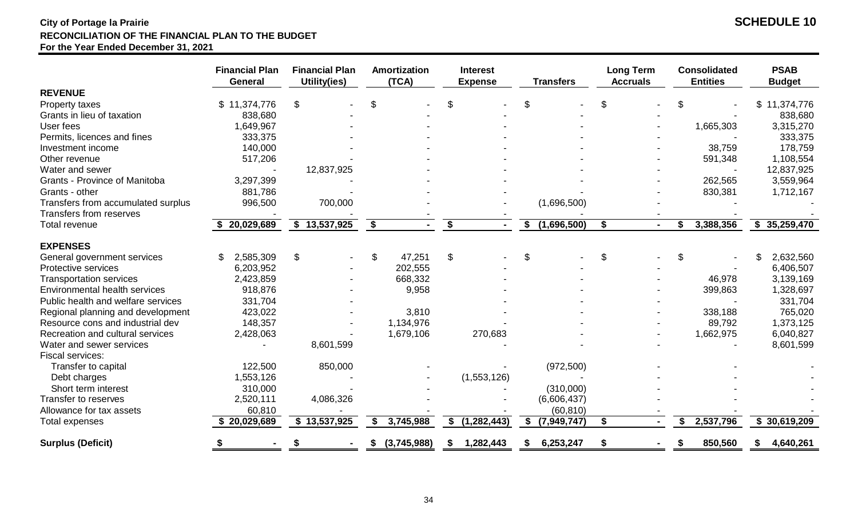### **City of Portage la Prairie SCHEDULE 10 RECONCILIATION OF THE FINANCIAL PLAN TO THE BUDGET For the Year Ended December 31, 2021**

|                                      | <b>Financial Plan</b><br>General | <b>Financial Plan</b><br>Utility(ies) |           | <b>Amortization</b><br>(TCA) |                         | <b>Interest</b><br><b>Expense</b> | <b>Transfers</b> |                | <b>Long Term</b><br><b>Accruals</b> |                |    | <b>Consolidated</b><br><b>Entities</b> | <b>PSAB</b><br><b>Budget</b> |
|--------------------------------------|----------------------------------|---------------------------------------|-----------|------------------------------|-------------------------|-----------------------------------|------------------|----------------|-------------------------------------|----------------|----|----------------------------------------|------------------------------|
| <b>REVENUE</b>                       |                                  |                                       |           |                              |                         |                                   |                  |                |                                     |                |    |                                        |                              |
| Property taxes                       | \$11,374,776                     | \$                                    | \$        |                              | \$                      |                                   |                  |                | $\boldsymbol{\mathsf{S}}$           |                | \$ |                                        | 11,374,776<br>\$             |
| Grants in lieu of taxation           | 838,680                          |                                       |           |                              |                         |                                   |                  |                |                                     |                |    |                                        | 838,680                      |
| User fees                            | 1,649,967                        |                                       |           |                              |                         |                                   |                  |                |                                     |                |    | 1,665,303                              | 3,315,270                    |
| Permits, licences and fines          | 333,375                          |                                       |           |                              |                         |                                   |                  |                |                                     |                |    |                                        | 333,375                      |
| Investment income                    | 140,000                          |                                       |           |                              |                         |                                   |                  |                |                                     |                |    | 38,759                                 | 178,759                      |
| Other revenue                        | 517,206                          |                                       |           |                              |                         |                                   |                  |                |                                     |                |    | 591,348                                | 1,108,554                    |
| Water and sewer                      |                                  | 12,837,925                            |           |                              |                         |                                   |                  |                |                                     |                |    |                                        | 12,837,925                   |
| <b>Grants - Province of Manitoba</b> | 3,297,399                        |                                       |           |                              |                         |                                   |                  |                |                                     |                |    | 262,565                                | 3,559,964                    |
| Grants - other                       | 881,786                          |                                       |           |                              |                         |                                   |                  |                |                                     |                |    | 830,381                                | 1,712,167                    |
| Transfers from accumulated surplus   | 996,500                          | 700,000                               |           |                              |                         |                                   |                  | (1,696,500)    |                                     |                |    |                                        |                              |
| Transfers from reserves              |                                  |                                       |           |                              |                         |                                   |                  |                |                                     |                |    |                                        |                              |
| <b>Total revenue</b>                 | \$20,029,689                     | \$13,537,925                          | $\bullet$ |                              | $\overline{\mathbf{3}}$ |                                   |                  | \$(1,696,500)  | \$                                  | $\blacksquare$ | S  | 3,388,356                              | \$35,259,470                 |
| <b>EXPENSES</b>                      |                                  |                                       |           |                              |                         |                                   |                  |                |                                     |                |    |                                        |                              |
| General government services          | \$<br>2,585,309                  | \$                                    | \$        | 47,251                       | $\$\$                   |                                   | \$               |                | \$                                  |                | \$ |                                        | 2,632,560                    |
| Protective services                  | 6,203,952                        |                                       |           | 202,555                      |                         |                                   |                  |                |                                     |                |    |                                        | 6,406,507                    |
| <b>Transportation services</b>       | 2,423,859                        |                                       |           | 668,332                      |                         |                                   |                  |                |                                     |                |    | 46,978                                 | 3,139,169                    |
| Environmental health services        | 918,876                          |                                       |           | 9,958                        |                         |                                   |                  |                |                                     |                |    | 399,863                                | 1,328,697                    |
| Public health and welfare services   | 331,704                          |                                       |           |                              |                         |                                   |                  |                |                                     |                |    |                                        | 331,704                      |
| Regional planning and development    | 423,022                          |                                       |           | 3,810                        |                         |                                   |                  |                |                                     |                |    | 338,188                                | 765,020                      |
| Resource cons and industrial dev     | 148,357                          |                                       |           | 1,134,976                    |                         |                                   |                  |                |                                     |                |    | 89,792                                 | 1,373,125                    |
| Recreation and cultural services     | 2,428,063                        |                                       |           | 1,679,106                    |                         | 270,683                           |                  |                |                                     |                |    | 1,662,975                              | 6,040,827                    |
| Water and sewer services             |                                  | 8,601,599                             |           |                              |                         |                                   |                  |                |                                     |                |    |                                        | 8,601,599                    |
| <b>Fiscal services:</b>              |                                  |                                       |           |                              |                         |                                   |                  |                |                                     |                |    |                                        |                              |
| Transfer to capital                  | 122,500                          | 850,000                               |           |                              |                         |                                   |                  | (972, 500)     |                                     |                |    |                                        |                              |
| Debt charges                         | 1,553,126                        |                                       |           |                              |                         | (1,553,126)                       |                  |                |                                     |                |    |                                        |                              |
| Short term interest                  | 310,000                          |                                       |           |                              |                         |                                   |                  | (310,000)      |                                     |                |    |                                        |                              |
| Transfer to reserves                 | 2,520,111                        | 4,086,326                             |           |                              |                         |                                   |                  | (6,606,437)    |                                     |                |    |                                        |                              |
| Allowance for tax assets             | 60,810                           |                                       |           |                              |                         |                                   |                  | (60, 810)      |                                     |                |    |                                        |                              |
| Total expenses                       | \$20,029,689                     | \$13,537,925                          | \$        | 3,745,988                    | \$                      | (1, 282, 443)                     |                  | \$ (7,949,747) | \$                                  |                | \$ | 2,537,796                              | \$30,619,209                 |
| <b>Surplus (Deficit)</b>             |                                  |                                       | \$        | (3,745,988)                  | \$                      | 1,282,443                         |                  | 6,253,247      | \$                                  |                | S  | 850,560                                | 4,640,261<br>S.              |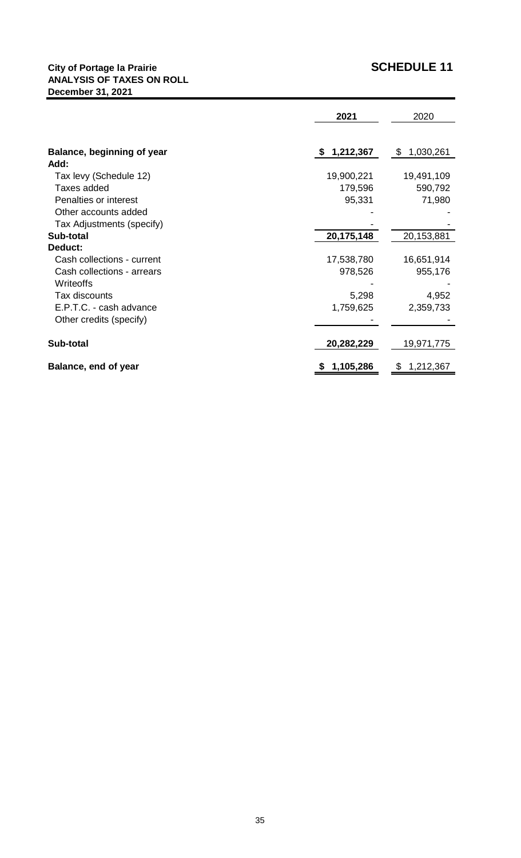### **City of Portage la Prairie SCHEDULE 11 ANALYSIS OF TAXES ON ROLL December 31, 2021**

|                            | 2021        | 2020                       |
|----------------------------|-------------|----------------------------|
|                            |             |                            |
| Balance, beginning of year | \$1,212,367 | 1,030,261<br>$\mathcal{L}$ |
| Add:                       |             |                            |
| Tax levy (Schedule 12)     | 19,900,221  | 19,491,109                 |
| <b>Taxes added</b>         | 179,596     | 590,792                    |
| Penalties or interest      | 95,331      | 71,980                     |
| Other accounts added       |             |                            |
| Tax Adjustments (specify)  |             |                            |
| Sub-total                  | 20,175,148  | 20,153,881                 |
| Deduct:                    |             |                            |
| Cash collections - current | 17,538,780  | 16,651,914                 |
| Cash collections - arrears | 978,526     | 955,176                    |
| Writeoffs                  |             |                            |
| Tax discounts              | 5,298       | 4,952                      |
| E.P.T.C. - cash advance    | 1,759,625   | 2,359,733                  |
| Other credits (specify)    |             |                            |
| Sub-total                  | 20,282,229  | 19,971,775                 |
| Balance, end of year       | 1,105,286   | 1,212,367<br>Ъ             |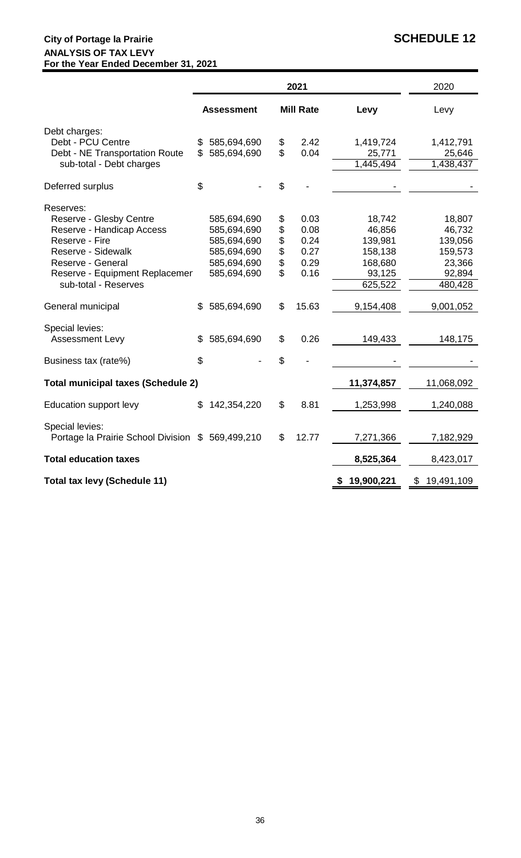### **City of Portage la Prairie SCHEDULE 12 ANALYSIS OF TAX LEVY For the Year Ended December 31, 2021**

|                                                                      |                |                   |                | 2020             |                  |                  |  |
|----------------------------------------------------------------------|----------------|-------------------|----------------|------------------|------------------|------------------|--|
|                                                                      |                | <b>Assessment</b> |                | <b>Mill Rate</b> | Levy             | Levy             |  |
| Debt charges:                                                        |                |                   |                |                  |                  |                  |  |
| Debt - PCU Centre                                                    | \$             | 585,694,690       | \$             | 2.42             | 1,419,724        | 1,412,791        |  |
| Debt - NE Transportation Route                                       | $\mathbb{S}^-$ | 585,694,690       | $\mathfrak{L}$ | 0.04             | 25,771           | 25,646           |  |
| sub-total - Debt charges                                             |                |                   |                |                  | 1,445,494        | 1,438,437        |  |
| Deferred surplus                                                     | \$             |                   | \$             |                  |                  |                  |  |
| Reserves:                                                            |                |                   |                |                  |                  |                  |  |
| Reserve - Glesby Centre                                              |                | 585,694,690       | \$             | 0.03             | 18,742           | 18,807           |  |
| Reserve - Handicap Access                                            |                | 585,694,690       | \$             | 0.08             | 46,856           | 46,732           |  |
| Reserve - Fire                                                       |                | 585,694,690       | \$             | 0.24             | 139,981          | 139,056          |  |
| Reserve - Sidewalk                                                   |                | 585,694,690       | \$             | 0.27             | 158,138          | 159,573          |  |
| Reserve - General                                                    |                | 585,694,690       | \$             | 0.29             | 168,680          | 23,366           |  |
| Reserve - Equipment Replacemer                                       |                | 585,694,690       | \$             | 0.16             | 93,125           | 92,894           |  |
| sub-total - Reserves                                                 |                |                   |                |                  | 625,522          | 480,428          |  |
| General municipal                                                    | \$             | 585,694,690       | \$             | 15.63            | 9,154,408        | 9,001,052        |  |
| Special levies:                                                      |                |                   |                |                  |                  |                  |  |
| <b>Assessment Levy</b>                                               | \$             | 585,694,690       | \$             | 0.26             | 149,433          | 148,175          |  |
| Business tax (rate%)                                                 | \$             |                   | \$             |                  |                  |                  |  |
| <b>Total municipal taxes (Schedule 2)</b>                            |                |                   |                |                  | 11,374,857       | 11,068,092       |  |
| Education support levy                                               | \$             | 142,354,220       | \$             | 8.81             | 1,253,998        | 1,240,088        |  |
|                                                                      |                |                   |                |                  |                  |                  |  |
| Special levies:<br>Portage la Prairie School Division \$ 569,499,210 |                |                   | \$             | 12.77            | 7,271,366        | 7,182,929        |  |
| <b>Total education taxes</b>                                         |                |                   |                |                  | 8,525,364        | 8,423,017        |  |
| Total tax levy (Schedule 11)                                         |                |                   |                |                  | 19,900,221<br>\$ | \$<br>19,491,109 |  |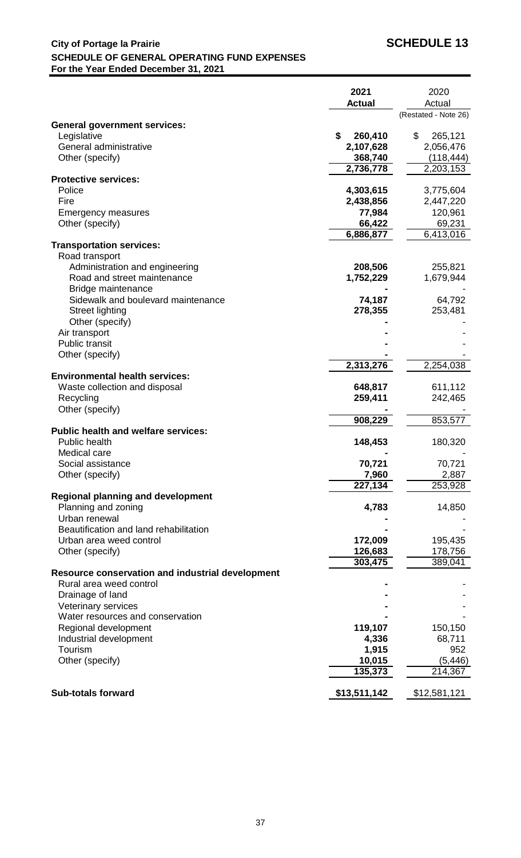## **City of Portage la Prairie SCHEDULE 13 SCHEDULE OF GENERAL OPERATING FUND EXPENSES For the Year Ended December 31, 2021**

|                                                  | 2021             | 2020                 |  |  |
|--------------------------------------------------|------------------|----------------------|--|--|
|                                                  | <b>Actual</b>    | Actual               |  |  |
|                                                  |                  | (Restated - Note 26) |  |  |
| <b>General government services:</b>              | \$<br>260,410    | \$                   |  |  |
| Legislative<br>General administrative            | 2,107,628        | 265,121<br>2,056,476 |  |  |
| Other (specify)                                  | 368,740          | (118,444)            |  |  |
|                                                  | 2,736,778        | 2,203,153            |  |  |
| <b>Protective services:</b>                      |                  |                      |  |  |
| Police                                           | 4,303,615        | 3,775,604            |  |  |
| Fire                                             | 2,438,856        | 2,447,220            |  |  |
| <b>Emergency measures</b>                        | 77,984           | 120,961              |  |  |
| Other (specify)                                  | 66,422           | 69,231               |  |  |
|                                                  | 6,886,877        | 6,413,016            |  |  |
| <b>Transportation services:</b>                  |                  |                      |  |  |
| Road transport                                   |                  |                      |  |  |
| Administration and engineering                   | 208,506          | 255,821              |  |  |
| Road and street maintenance                      | 1,752,229        | 1,679,944            |  |  |
| Bridge maintenance                               |                  |                      |  |  |
| Sidewalk and boulevard maintenance               | 74,187           | 64,792               |  |  |
| <b>Street lighting</b>                           | 278,355          | 253,481              |  |  |
| Other (specify)                                  |                  |                      |  |  |
| Air transport<br>Public transit                  |                  |                      |  |  |
| Other (specify)                                  |                  |                      |  |  |
|                                                  | 2,313,276        | 2,254,038            |  |  |
| <b>Environmental health services:</b>            |                  |                      |  |  |
| Waste collection and disposal                    | 648,817          | 611,112              |  |  |
| Recycling                                        | 259,411          | 242,465              |  |  |
| Other (specify)                                  |                  |                      |  |  |
|                                                  | 908,229          | 853,577              |  |  |
| <b>Public health and welfare services:</b>       |                  |                      |  |  |
| Public health                                    | 148,453          | 180,320              |  |  |
| Medical care                                     |                  |                      |  |  |
| Social assistance                                | 70,721           | 70,721               |  |  |
| Other (specify)                                  | 7,960<br>227,134 | 2,887                |  |  |
| <b>Regional planning and development</b>         |                  | 253,928              |  |  |
| Planning and zoning                              | 4,783            | 14,850               |  |  |
| Urban renewal                                    |                  |                      |  |  |
| Beautification and land rehabilitation           |                  |                      |  |  |
| Urban area weed control                          | 172,009          | 195,435              |  |  |
| Other (specify)                                  | 126,683          | 178,756              |  |  |
|                                                  | 303,475          | 389,041              |  |  |
| Resource conservation and industrial development |                  |                      |  |  |
| Rural area weed control                          |                  |                      |  |  |
| Drainage of land                                 |                  |                      |  |  |
| Veterinary services                              |                  |                      |  |  |
| Water resources and conservation                 |                  |                      |  |  |
| Regional development                             | 119,107          | 150,150<br>68,711    |  |  |
| Industrial development<br>Tourism                | 4,336<br>1,915   | 952                  |  |  |
| Other (specify)                                  | 10,015           | (5, 446)             |  |  |
|                                                  | 135,373          | 214,367              |  |  |
|                                                  |                  |                      |  |  |
| <b>Sub-totals forward</b>                        | \$13,511,142     | \$12,581,121         |  |  |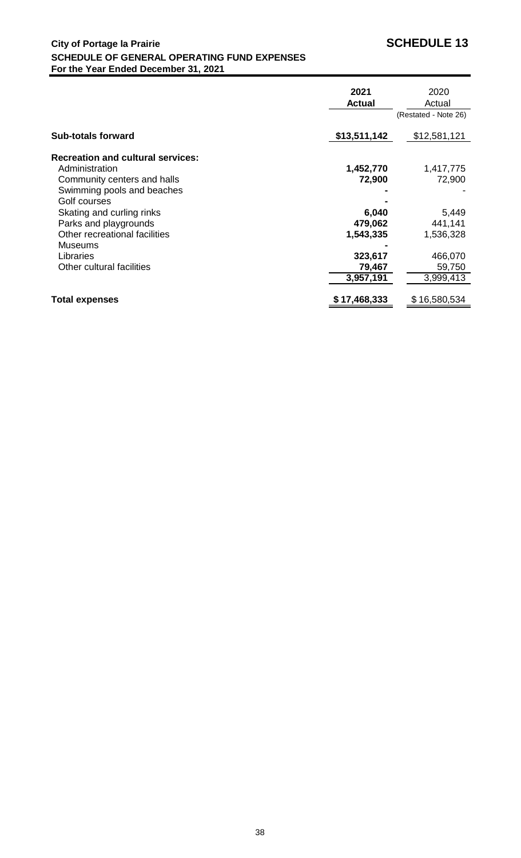## **City of Portage la Prairie SCHEDULE 13 SCHEDULE OF GENERAL OPERATING FUND EXPENSES For the Year Ended December 31, 2021**

|                                                                                           | 2021<br><b>Actual</b>     | 2020<br>Actual<br>(Restated - Note 26) |  |
|-------------------------------------------------------------------------------------------|---------------------------|----------------------------------------|--|
| <b>Sub-totals forward</b>                                                                 | \$13,511,142              | \$12,581,121                           |  |
| <b>Recreation and cultural services:</b><br>Administration<br>Community centers and halls | 1,452,770<br>72,900       | 1,417,775<br>72,900                    |  |
| Swimming pools and beaches<br>Golf courses<br>Skating and curling rinks                   | 6,040                     | 5,449                                  |  |
| Parks and playgrounds<br>Other recreational facilities<br>Museums                         | 479,062<br>1,543,335      | 441,141<br>1,536,328                   |  |
| Libraries<br>Other cultural facilities                                                    | 323,617<br>79,467         | 466,070<br>59,750                      |  |
| <b>Total expenses</b>                                                                     | 3,957,191<br>\$17,468,333 | 3,999,413<br>\$16,580,534              |  |